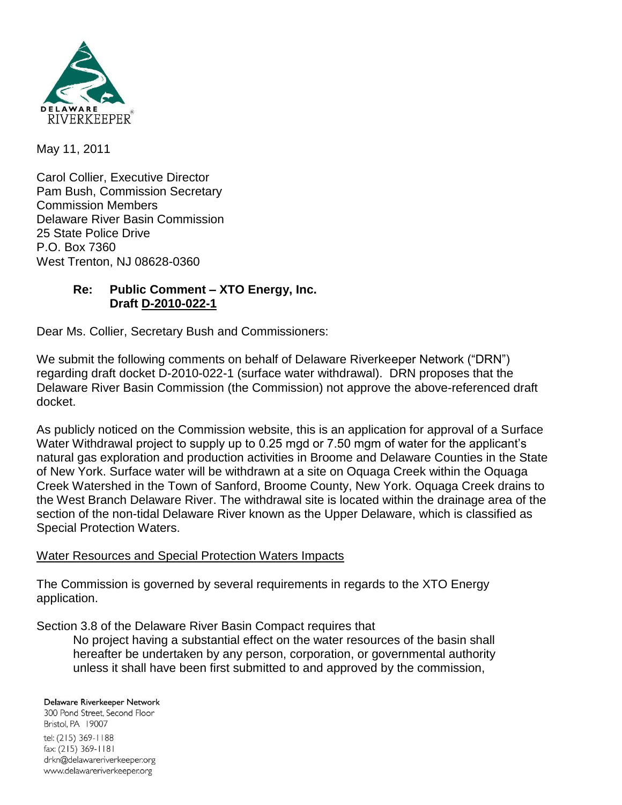

May 11, 2011

Carol Collier, Executive Director Pam Bush, Commission Secretary Commission Members Delaware River Basin Commission 25 State Police Drive P.O. Box 7360 West Trenton, NJ 08628-0360

## **Re: Public Comment – XTO Energy, Inc. Draft D-2010-022-1**

Dear Ms. Collier, Secretary Bush and Commissioners:

We submit the following comments on behalf of Delaware Riverkeeper Network ("DRN") regarding draft docket D-2010-022-1 (surface water withdrawal). DRN proposes that the Delaware River Basin Commission (the Commission) not approve the above-referenced draft docket.

As publicly noticed on the Commission website, this is an application for approval of a Surface Water Withdrawal project to supply up to 0.25 mgd or 7.50 mgm of water for the applicant's natural gas exploration and production activities in Broome and Delaware Counties in the State of New York. Surface water will be withdrawn at a site on Oquaga Creek within the Oquaga Creek Watershed in the Town of Sanford, Broome County, New York. Oquaga Creek drains to the West Branch Delaware River. The withdrawal site is located within the drainage area of the section of the non-tidal Delaware River known as the Upper Delaware, which is classified as Special Protection Waters.

#### Water Resources and Special Protection Waters Impacts

The Commission is governed by several requirements in regards to the XTO Energy application.

Section 3.8 of the Delaware River Basin Compact requires that

No project having a substantial effect on the water resources of the basin shall hereafter be undertaken by any person, corporation, or governmental authority unless it shall have been first submitted to and approved by the commission,

#### Delaware Riverkeeper Network

300 Pond Street, Second Floor Bristol, PA 19007 tel: (215) 369-1188 fax: (215) 369-1181 drkn@delawareriverkeeper.org www.delawareriverkeeper.org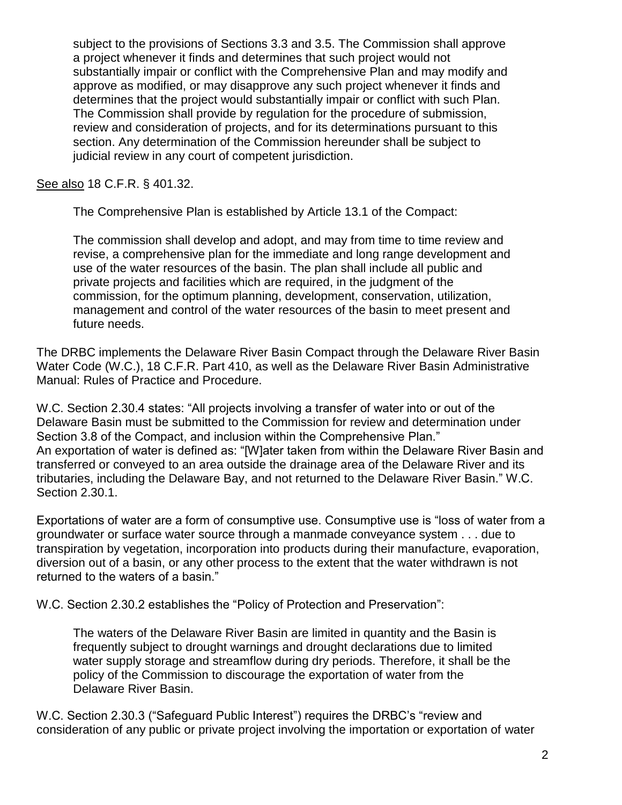subject to the provisions of Sections 3.3 and 3.5. The Commission shall approve a project whenever it finds and determines that such project would not substantially impair or conflict with the Comprehensive Plan and may modify and approve as modified, or may disapprove any such project whenever it finds and determines that the project would substantially impair or conflict with such Plan. The Commission shall provide by regulation for the procedure of submission, review and consideration of projects, and for its determinations pursuant to this section. Any determination of the Commission hereunder shall be subject to judicial review in any court of competent jurisdiction.

See also 18 C.F.R. § 401.32.

The Comprehensive Plan is established by Article 13.1 of the Compact:

The commission shall develop and adopt, and may from time to time review and revise, a comprehensive plan for the immediate and long range development and use of the water resources of the basin. The plan shall include all public and private projects and facilities which are required, in the judgment of the commission, for the optimum planning, development, conservation, utilization, management and control of the water resources of the basin to meet present and future needs.

The DRBC implements the Delaware River Basin Compact through the Delaware River Basin Water Code (W.C.), 18 C.F.R. Part 410, as well as the Delaware River Basin Administrative Manual: Rules of Practice and Procedure.

W.C. Section 2.30.4 states: "All projects involving a transfer of water into or out of the Delaware Basin must be submitted to the Commission for review and determination under Section 3.8 of the Compact, and inclusion within the Comprehensive Plan." An exportation of water is defined as: "[W]ater taken from within the Delaware River Basin and transferred or conveyed to an area outside the drainage area of the Delaware River and its tributaries, including the Delaware Bay, and not returned to the Delaware River Basin." W.C. Section 2.30.1.

Exportations of water are a form of consumptive use. Consumptive use is "loss of water from a groundwater or surface water source through a manmade conveyance system . . . due to transpiration by vegetation, incorporation into products during their manufacture, evaporation, diversion out of a basin, or any other process to the extent that the water withdrawn is not returned to the waters of a basin."

W.C. Section 2.30.2 establishes the "Policy of Protection and Preservation":

The waters of the Delaware River Basin are limited in quantity and the Basin is frequently subject to drought warnings and drought declarations due to limited water supply storage and streamflow during dry periods. Therefore, it shall be the policy of the Commission to discourage the exportation of water from the Delaware River Basin.

W.C. Section 2.30.3 ("Safeguard Public Interest") requires the DRBC's "review and consideration of any public or private project involving the importation or exportation of water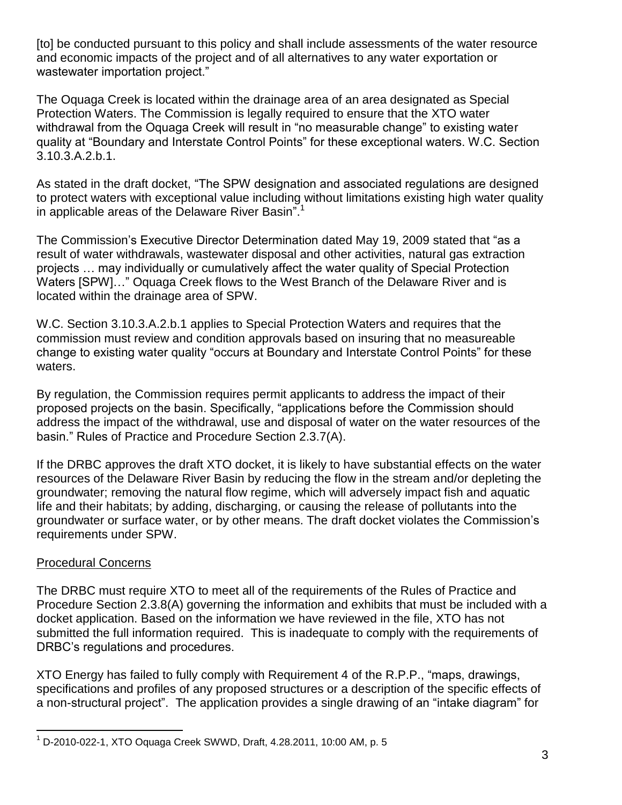[to] be conducted pursuant to this policy and shall include assessments of the water resource and economic impacts of the project and of all alternatives to any water exportation or wastewater importation project."

The Oquaga Creek is located within the drainage area of an area designated as Special Protection Waters. The Commission is legally required to ensure that the XTO water withdrawal from the Oquaga Creek will result in "no measurable change" to existing water quality at "Boundary and Interstate Control Points" for these exceptional waters. W.C. Section 3.10.3.A.2.b.1.

As stated in the draft docket, "The SPW designation and associated regulations are designed to protect waters with exceptional value including without limitations existing high water quality in applicable areas of the Delaware River Basin".<sup>1</sup>

The Commission's Executive Director Determination dated May 19, 2009 stated that "as a result of water withdrawals, wastewater disposal and other activities, natural gas extraction projects … may individually or cumulatively affect the water quality of Special Protection Waters [SPW]..." Oquaga Creek flows to the West Branch of the Delaware River and is located within the drainage area of SPW.

W.C. Section 3.10.3.A.2.b.1 applies to Special Protection Waters and requires that the commission must review and condition approvals based on insuring that no measureable change to existing water quality "occurs at Boundary and Interstate Control Points" for these waters.

By regulation, the Commission requires permit applicants to address the impact of their proposed projects on the basin. Specifically, "applications before the Commission should address the impact of the withdrawal, use and disposal of water on the water resources of the basin." Rules of Practice and Procedure Section 2.3.7(A).

If the DRBC approves the draft XTO docket, it is likely to have substantial effects on the water resources of the Delaware River Basin by reducing the flow in the stream and/or depleting the groundwater; removing the natural flow regime, which will adversely impact fish and aquatic life and their habitats; by adding, discharging, or causing the release of pollutants into the groundwater or surface water, or by other means. The draft docket violates the Commission's requirements under SPW.

#### Procedural Concerns

The DRBC must require XTO to meet all of the requirements of the Rules of Practice and Procedure Section 2.3.8(A) governing the information and exhibits that must be included with a docket application. Based on the information we have reviewed in the file, XTO has not submitted the full information required. This is inadequate to comply with the requirements of DRBC's regulations and procedures.

XTO Energy has failed to fully comply with Requirement 4 of the R.P.P., "maps, drawings, specifications and profiles of any proposed structures or a description of the specific effects of a non-structural project". The application provides a single drawing of an "intake diagram" for

 $\overline{a}$ <sup>1</sup> D-2010-022-1, XTO Oquaga Creek SWWD, Draft, 4.28.2011, 10:00 AM, p. 5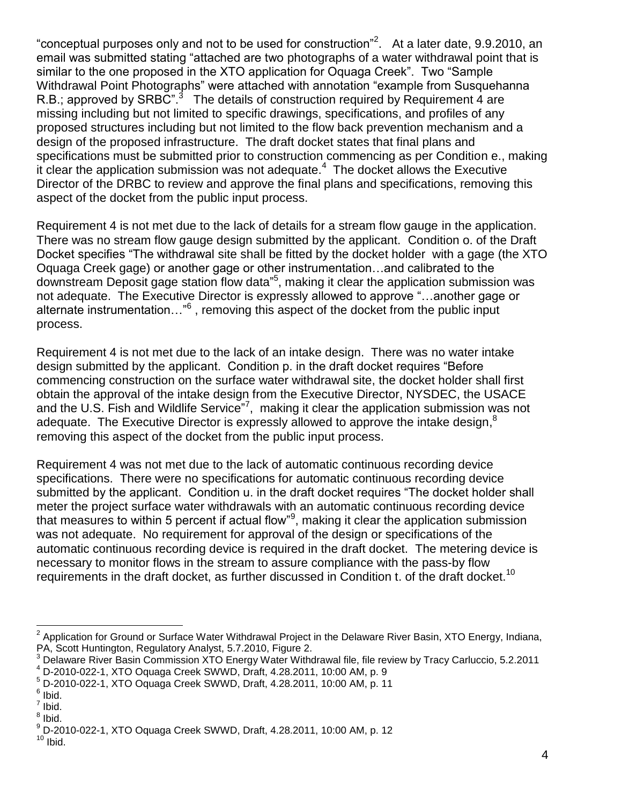"conceptual purposes only and not to be used for construction"<sup>2</sup>. At a later date, 9.9.2010, an email was submitted stating "attached are two photographs of a water withdrawal point that is similar to the one proposed in the XTO application for Oquaga Creek". Two "Sample Withdrawal Point Photographs" were attached with annotation "example from Susquehanna R.B.; approved by SRBC".<sup>3</sup> The details of construction required by Requirement 4 are missing including but not limited to specific drawings, specifications, and profiles of any proposed structures including but not limited to the flow back prevention mechanism and a design of the proposed infrastructure. The draft docket states that final plans and specifications must be submitted prior to construction commencing as per Condition e., making it clear the application submission was not adequate.<sup>4</sup> The docket allows the Executive Director of the DRBC to review and approve the final plans and specifications, removing this aspect of the docket from the public input process.

Requirement 4 is not met due to the lack of details for a stream flow gauge in the application. There was no stream flow gauge design submitted by the applicant. Condition o. of the Draft Docket specifies "The withdrawal site shall be fitted by the docket holder with a gage (the XTO Oquaga Creek gage) or another gage or other instrumentation…and calibrated to the downstream Deposit gage station flow data"<sup>5</sup>, making it clear the application submission was not adequate. The Executive Director is expressly allowed to approve "...another gage or alternate instrumentation..."<sup>6</sup>, removing this aspect of the docket from the public input process.

Requirement 4 is not met due to the lack of an intake design. There was no water intake design submitted by the applicant. Condition p. in the draft docket requires "Before" commencing construction on the surface water withdrawal site, the docket holder shall first obtain the approval of the intake design from the Executive Director, NYSDEC, the USACE and the U.S. Fish and Wildlife Service<sup>"7</sup>, making it clear the application submission was not adequate. The Executive Director is expressly allowed to approve the intake design,  $8$ removing this aspect of the docket from the public input process.

Requirement 4 was not met due to the lack of automatic continuous recording device specifications. There were no specifications for automatic continuous recording device submitted by the applicant. Condition u. in the draft docket requires "The docket holder shall meter the project surface water withdrawals with an automatic continuous recording device that measures to within 5 percent if actual flow"<sup>9</sup>, making it clear the application submission was not adequate. No requirement for approval of the design or specifications of the automatic continuous recording device is required in the draft docket. The metering device is necessary to monitor flows in the stream to assure compliance with the pass-by flow requirements in the draft docket, as further discussed in Condition t. of the draft docket.<sup>10</sup>

<sup>4</sup> D-2010-022-1, XTO Oquaga Creek SWWD, Draft, 4.28.2011, 10:00 AM, p. 9

<sup>&</sup>lt;sup>2</sup> Application for Ground or Surface Water Withdrawal Project in the Delaware River Basin, XTO Energy, Indiana, PA, Scott Huntington, Regulatory Analyst, 5.7.2010, Figure 2.

<sup>&</sup>lt;sup>3</sup> Delaware River Basin Commission XTO Energy Water Withdrawal file, file review by Tracy Carluccio, 5.2.2011

<sup>5</sup> D-2010-022-1, XTO Oquaga Creek SWWD, Draft, 4.28.2011, 10:00 AM, p. 11

<sup>&</sup>lt;sup>6</sup> Ibid.

 $<sup>7</sup>$  Ibid.</sup>

<sup>&</sup>lt;sup>8</sup> Ibid.

<sup>9</sup> D-2010-022-1, XTO Oquaga Creek SWWD, Draft, 4.28.2011, 10:00 AM, p. 12

 $10$  Ibid.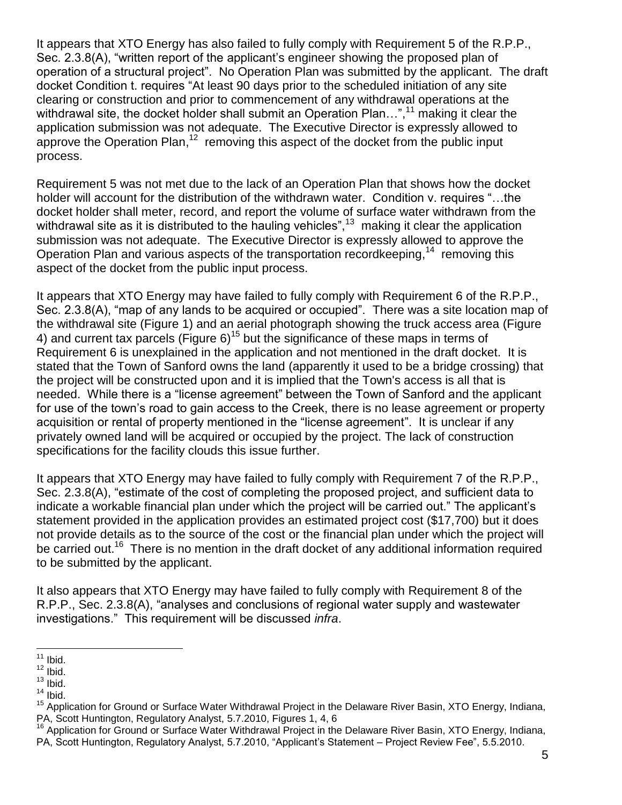It appears that XTO Energy has also failed to fully comply with Requirement 5 of the R.P.P., Sec. 2.3.8(A), "written report of the applicant's engineer showing the proposed plan of operation of a structural project". No Operation Plan was submitted by the applicant. The draft docket Condition t. requires "At least 90 days prior to the scheduled initiation of any site clearing or construction and prior to commencement of any withdrawal operations at the withdrawal site, the docket holder shall submit an Operation Plan...",<sup>11</sup> making it clear the application submission was not adequate. The Executive Director is expressly allowed to approve the Operation Plan,<sup>12</sup> removing this aspect of the docket from the public input process.

Requirement 5 was not met due to the lack of an Operation Plan that shows how the docket holder will account for the distribution of the withdrawn water. Condition v. requires "...the docket holder shall meter, record, and report the volume of surface water withdrawn from the withdrawal site as it is distributed to the hauling vehicles",  $13$  making it clear the application submission was not adequate. The Executive Director is expressly allowed to approve the Operation Plan and various aspects of the transportation recordkeeping,<sup>14</sup> removing this aspect of the docket from the public input process.

It appears that XTO Energy may have failed to fully comply with Requirement 6 of the R.P.P., Sec. 2.3.8(A), "map of any lands to be acquired or occupied". There was a site location map of the withdrawal site (Figure 1) and an aerial photograph showing the truck access area (Figure 4) and current tax parcels (Figure 6)<sup>15</sup> but the significance of these maps in terms of Requirement 6 is unexplained in the application and not mentioned in the draft docket. It is stated that the Town of Sanford owns the land (apparently it used to be a bridge crossing) that the project will be constructed upon and it is implied that the Town's access is all that is needed. While there is a "license agreement" between the Town of Sanford and the applicant for use of the town's road to gain access to the Creek, there is no lease agreement or property acquisition or rental of property mentioned in the "license agreement". It is unclear if any privately owned land will be acquired or occupied by the project. The lack of construction specifications for the facility clouds this issue further.

It appears that XTO Energy may have failed to fully comply with Requirement 7 of the R.P.P., Sec. 2.3.8(A), "estimate of the cost of completing the proposed project, and sufficient data to indicate a workable financial plan under which the project will be carried out." The applicant's statement provided in the application provides an estimated project cost (\$17,700) but it does not provide details as to the source of the cost or the financial plan under which the project will be carried out.<sup>16</sup> There is no mention in the draft docket of any additional information required to be submitted by the applicant.

It also appears that XTO Energy may have failed to fully comply with Requirement 8 of the R.P.P., Sec. 2.3.8(A), "analyses and conclusions of regional water supply and wastewater investigations.‖ This requirement will be discussed *infra*.

 $\overline{a}$  $11$  Ibid.

 $12$  lbid.

 $13$  Ibid.

 $14$  Ibid.

<sup>15</sup> Application for Ground or Surface Water Withdrawal Project in the Delaware River Basin, XTO Energy, Indiana, PA, Scott Huntington, Regulatory Analyst, 5.7.2010, Figures 1, 4, 6

<sup>&</sup>lt;sup>16</sup> Application for Ground or Surface Water Withdrawal Project in the Delaware River Basin, XTO Energy, Indiana, PA, Scott Huntington, Regulatory Analyst, 5.7.2010, "Applicant's Statement – Project Review Fee", 5.5.2010.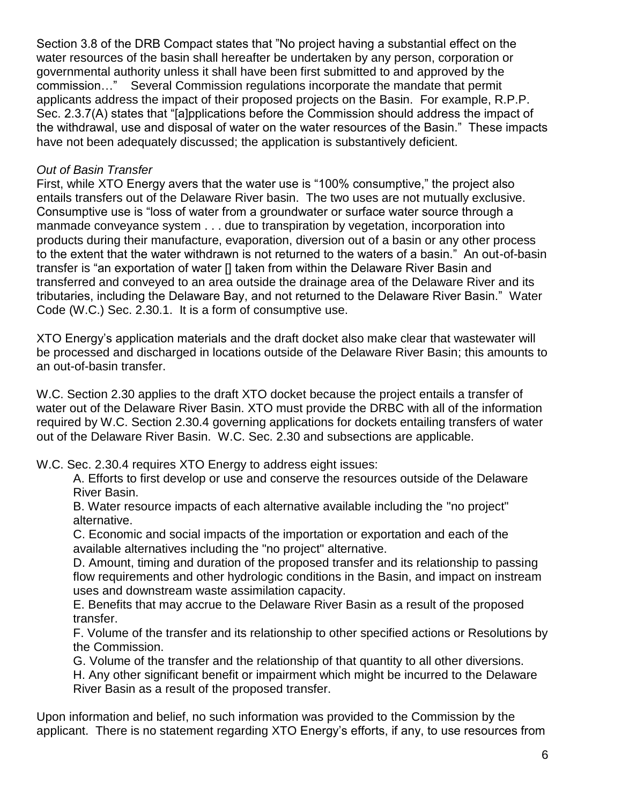Section 3.8 of the DRB Compact states that "No project having a substantial effect on the water resources of the basin shall hereafter be undertaken by any person, corporation or governmental authority unless it shall have been first submitted to and approved by the commission…‖ Several Commission regulations incorporate the mandate that permit applicants address the impact of their proposed projects on the Basin. For example, R.P.P. Sec. 2.3.7(A) states that "[a]pplications before the Commission should address the impact of the withdrawal, use and disposal of water on the water resources of the Basin." These impacts have not been adequately discussed; the application is substantively deficient.

## *Out of Basin Transfer*

First, while XTO Energy avers that the water use is "100% consumptive," the project also entails transfers out of the Delaware River basin. The two uses are not mutually exclusive. Consumptive use is "loss of water from a groundwater or surface water source through a manmade conveyance system . . . due to transpiration by vegetation, incorporation into products during their manufacture, evaporation, diversion out of a basin or any other process to the extent that the water withdrawn is not returned to the waters of a basin." An out-of-basin transfer is "an exportation of water [] taken from within the Delaware River Basin and transferred and conveyed to an area outside the drainage area of the Delaware River and its tributaries, including the Delaware Bay, and not returned to the Delaware River Basin." Water Code (W.C.) Sec. 2.30.1. It is a form of consumptive use.

XTO Energy's application materials and the draft docket also make clear that wastewater will be processed and discharged in locations outside of the Delaware River Basin; this amounts to an out-of-basin transfer.

W.C. Section 2.30 applies to the draft XTO docket because the project entails a transfer of water out of the Delaware River Basin. XTO must provide the DRBC with all of the information required by W.C. Section 2.30.4 governing applications for dockets entailing transfers of water out of the Delaware River Basin. W.C. Sec. 2.30 and subsections are applicable.

W.C. Sec. 2.30.4 requires XTO Energy to address eight issues:

A. Efforts to first develop or use and conserve the resources outside of the Delaware River Basin.

B. Water resource impacts of each alternative available including the "no project" alternative.

C. Economic and social impacts of the importation or exportation and each of the available alternatives including the "no project" alternative.

D. Amount, timing and duration of the proposed transfer and its relationship to passing flow requirements and other hydrologic conditions in the Basin, and impact on instream uses and downstream waste assimilation capacity.

E. Benefits that may accrue to the Delaware River Basin as a result of the proposed transfer.

F. Volume of the transfer and its relationship to other specified actions or Resolutions by the Commission.

G. Volume of the transfer and the relationship of that quantity to all other diversions.

H. Any other significant benefit or impairment which might be incurred to the Delaware River Basin as a result of the proposed transfer.

Upon information and belief, no such information was provided to the Commission by the applicant. There is no statement regarding XTO Energy's efforts, if any, to use resources from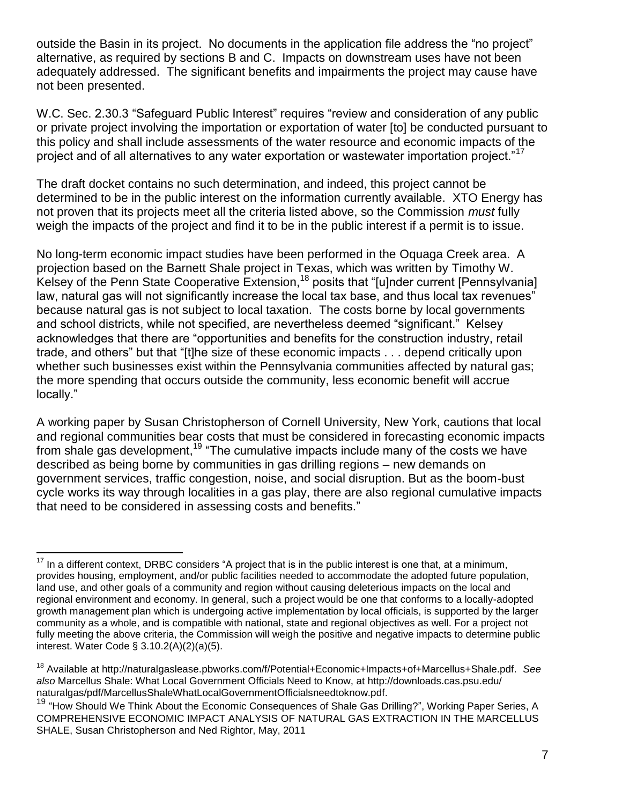outside the Basin in its project. No documents in the application file address the "no project" alternative, as required by sections B and C. Impacts on downstream uses have not been adequately addressed. The significant benefits and impairments the project may cause have not been presented.

W.C. Sec. 2.30.3 "Safeguard Public Interest" requires "review and consideration of any public or private project involving the importation or exportation of water [to] be conducted pursuant to this policy and shall include assessments of the water resource and economic impacts of the project and of all alternatives to any water exportation or wastewater importation project."<sup>17</sup>

The draft docket contains no such determination, and indeed, this project cannot be determined to be in the public interest on the information currently available. XTO Energy has not proven that its projects meet all the criteria listed above, so the Commission *must* fully weigh the impacts of the project and find it to be in the public interest if a permit is to issue.

No long-term economic impact studies have been performed in the Oquaga Creek area. A projection based on the Barnett Shale project in Texas, which was written by Timothy W. Kelsey of the Penn State Cooperative Extension,<sup>18</sup> posits that "[u]nder current [Pennsylvania] law, natural gas will not significantly increase the local tax base, and thus local tax revenues" because natural gas is not subject to local taxation. The costs borne by local governments and school districts, while not specified, are nevertheless deemed "significant." Kelsey acknowledges that there are "opportunities and benefits for the construction industry, retail trade, and others" but that "[t]he size of these economic impacts . . . depend critically upon whether such businesses exist within the Pennsylvania communities affected by natural gas; the more spending that occurs outside the community, less economic benefit will accrue locally."

A working paper by Susan Christopherson of Cornell University, New York, cautions that local and regional communities bear costs that must be considered in forecasting economic impacts from shale gas development,<sup>19</sup> "The cumulative impacts include many of the costs we have described as being borne by communities in gas drilling regions – new demands on government services, traffic congestion, noise, and social disruption. But as the boom-bust cycle works its way through localities in a gas play, there are also regional cumulative impacts that need to be considered in assessing costs and benefits."

 $17$  In a different context, DRBC considers "A project that is in the public interest is one that, at a minimum, provides housing, employment, and/or public facilities needed to accommodate the adopted future population, land use, and other goals of a community and region without causing deleterious impacts on the local and regional environment and economy. In general, such a project would be one that conforms to a locally-adopted growth management plan which is undergoing active implementation by local officials, is supported by the larger community as a whole, and is compatible with national, state and regional objectives as well. For a project not fully meeting the above criteria, the Commission will weigh the positive and negative impacts to determine public interest. Water Code § 3.10.2(A)(2)(a)(5).

<sup>18</sup> Available at http://naturalgaslease.pbworks.com/f/Potential+Economic+Impacts+of+Marcellus+Shale.pdf. *See also* Marcellus Shale: What Local Government Officials Need to Know, at http://downloads.cas.psu.edu/ naturalgas/pdf/MarcellusShaleWhatLocalGovernmentOfficialsneedtoknow.pdf.

<sup>&</sup>lt;sup>19</sup> "How Should We Think About the Economic Consequences of Shale Gas Drilling?", Working Paper Series, A COMPREHENSIVE ECONOMIC IMPACT ANALYSIS OF NATURAL GAS EXTRACTION IN THE MARCELLUS SHALE, Susan Christopherson and Ned Rightor, May, 2011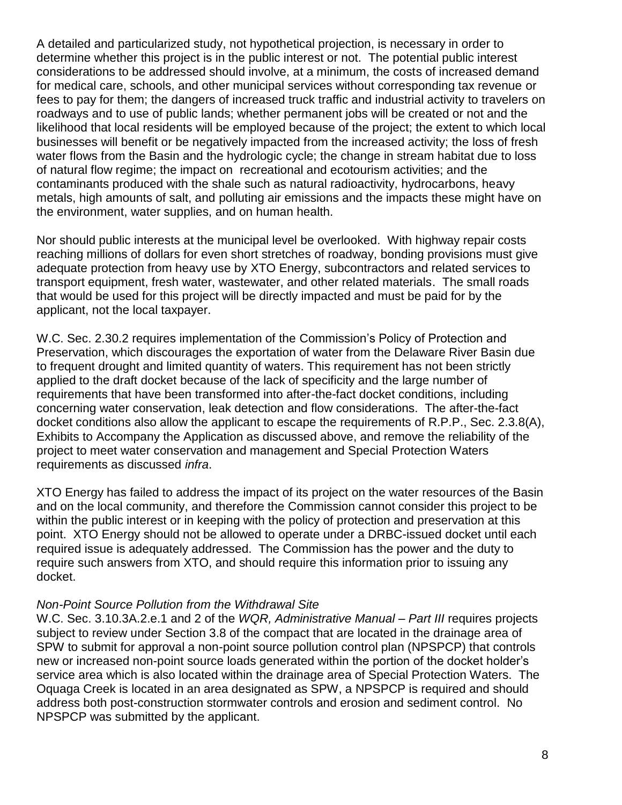A detailed and particularized study, not hypothetical projection, is necessary in order to determine whether this project is in the public interest or not. The potential public interest considerations to be addressed should involve, at a minimum, the costs of increased demand for medical care, schools, and other municipal services without corresponding tax revenue or fees to pay for them; the dangers of increased truck traffic and industrial activity to travelers on roadways and to use of public lands; whether permanent jobs will be created or not and the likelihood that local residents will be employed because of the project; the extent to which local businesses will benefit or be negatively impacted from the increased activity; the loss of fresh water flows from the Basin and the hydrologic cycle; the change in stream habitat due to loss of natural flow regime; the impact on recreational and ecotourism activities; and the contaminants produced with the shale such as natural radioactivity, hydrocarbons, heavy metals, high amounts of salt, and polluting air emissions and the impacts these might have on the environment, water supplies, and on human health.

Nor should public interests at the municipal level be overlooked. With highway repair costs reaching millions of dollars for even short stretches of roadway, bonding provisions must give adequate protection from heavy use by XTO Energy, subcontractors and related services to transport equipment, fresh water, wastewater, and other related materials. The small roads that would be used for this project will be directly impacted and must be paid for by the applicant, not the local taxpayer.

W.C. Sec. 2.30.2 requires implementation of the Commission's Policy of Protection and Preservation, which discourages the exportation of water from the Delaware River Basin due to frequent drought and limited quantity of waters. This requirement has not been strictly applied to the draft docket because of the lack of specificity and the large number of requirements that have been transformed into after-the-fact docket conditions, including concerning water conservation, leak detection and flow considerations. The after-the-fact docket conditions also allow the applicant to escape the requirements of R.P.P., Sec. 2.3.8(A), Exhibits to Accompany the Application as discussed above, and remove the reliability of the project to meet water conservation and management and Special Protection Waters requirements as discussed *infra*.

XTO Energy has failed to address the impact of its project on the water resources of the Basin and on the local community, and therefore the Commission cannot consider this project to be within the public interest or in keeping with the policy of protection and preservation at this point. XTO Energy should not be allowed to operate under a DRBC-issued docket until each required issue is adequately addressed. The Commission has the power and the duty to require such answers from XTO, and should require this information prior to issuing any docket.

#### *Non-Point Source Pollution from the Withdrawal Site*

W.C. Sec. 3.10.3A.2.e.1 and 2 of the *WQR, Administrative Manual – Part III* requires projects subject to review under Section 3.8 of the compact that are located in the drainage area of SPW to submit for approval a non-point source pollution control plan (NPSPCP) that controls new or increased non-point source loads generated within the portion of the docket holder's service area which is also located within the drainage area of Special Protection Waters. The Oquaga Creek is located in an area designated as SPW, a NPSPCP is required and should address both post-construction stormwater controls and erosion and sediment control. No NPSPCP was submitted by the applicant.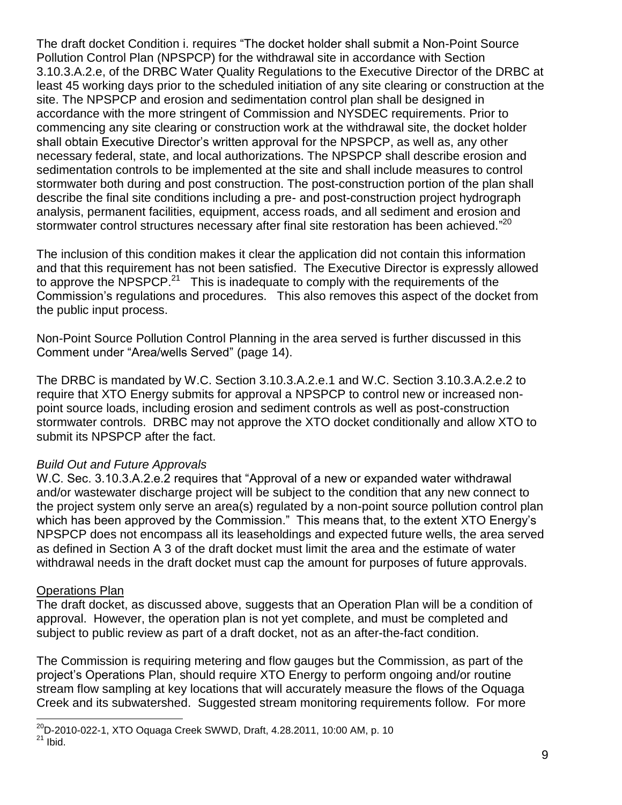The draft docket Condition i. requires "The docket holder shall submit a Non-Point Source Pollution Control Plan (NPSPCP) for the withdrawal site in accordance with Section 3.10.3.A.2.e, of the DRBC Water Quality Regulations to the Executive Director of the DRBC at least 45 working days prior to the scheduled initiation of any site clearing or construction at the site. The NPSPCP and erosion and sedimentation control plan shall be designed in accordance with the more stringent of Commission and NYSDEC requirements. Prior to commencing any site clearing or construction work at the withdrawal site, the docket holder shall obtain Executive Director's written approval for the NPSPCP, as well as, any other necessary federal, state, and local authorizations. The NPSPCP shall describe erosion and sedimentation controls to be implemented at the site and shall include measures to control stormwater both during and post construction. The post-construction portion of the plan shall describe the final site conditions including a pre- and post-construction project hydrograph analysis, permanent facilities, equipment, access roads, and all sediment and erosion and stormwater control structures necessary after final site restoration has been achieved."<sup>20</sup>

The inclusion of this condition makes it clear the application did not contain this information and that this requirement has not been satisfied. The Executive Director is expressly allowed to approve the NPSPCP.<sup>21</sup> This is inadequate to comply with the requirements of the Commission's regulations and procedures. This also removes this aspect of the docket from the public input process.

Non-Point Source Pollution Control Planning in the area served is further discussed in this Comment under "Area/wells Served" (page 14).

The DRBC is mandated by W.C. Section 3.10.3.A.2.e.1 and W.C. Section 3.10.3.A.2.e.2 to require that XTO Energy submits for approval a NPSPCP to control new or increased nonpoint source loads, including erosion and sediment controls as well as post-construction stormwater controls. DRBC may not approve the XTO docket conditionally and allow XTO to submit its NPSPCP after the fact.

#### *Build Out and Future Approvals*

W.C. Sec. 3.10.3.A.2.e.2 requires that "Approval of a new or expanded water withdrawal and/or wastewater discharge project will be subject to the condition that any new connect to the project system only serve an area(s) regulated by a non-point source pollution control plan which has been approved by the Commission." This means that, to the extent XTO Energy's NPSPCP does not encompass all its leaseholdings and expected future wells, the area served as defined in Section A 3 of the draft docket must limit the area and the estimate of water withdrawal needs in the draft docket must cap the amount for purposes of future approvals.

#### Operations Plan

 $\overline{a}$ 

The draft docket, as discussed above, suggests that an Operation Plan will be a condition of approval. However, the operation plan is not yet complete, and must be completed and subject to public review as part of a draft docket, not as an after-the-fact condition.

The Commission is requiring metering and flow gauges but the Commission, as part of the project's Operations Plan, should require XTO Energy to perform ongoing and/or routine stream flow sampling at key locations that will accurately measure the flows of the Oquaga Creek and its subwatershed. Suggested stream monitoring requirements follow. For more

 $^{20}$ D-2010-022-1, XTO Oquaga Creek SWWD, Draft, 4.28.2011, 10:00 AM, p. 10  $21$  Ibid.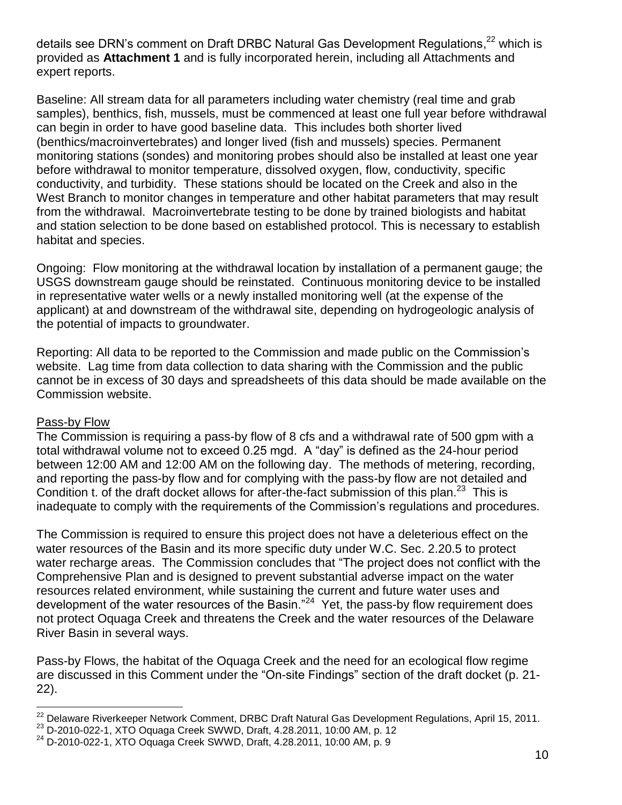details see DRN's comment on Draft DRBC Natural Gas Development Regulations,<sup>22</sup> which is provided as **Attachment 1** and is fully incorporated herein, including all Attachments and expert reports.

Baseline: All stream data for all parameters including water chemistry (real time and grab samples), benthics, fish, mussels, must be commenced at least one full year before withdrawal can begin in order to have good baseline data. This includes both shorter lived (benthics/macroinvertebrates) and longer lived (fish and mussels) species. Permanent monitoring stations (sondes) and monitoring probes should also be installed at least one year before withdrawal to monitor temperature, dissolved oxygen, flow, conductivity, specific conductivity, and turbidity. These stations should be located on the Creek and also in the West Branch to monitor changes in temperature and other habitat parameters that may result from the withdrawal. Macroinvertebrate testing to be done by trained biologists and habitat and station selection to be done based on established protocol. This is necessary to establish habitat and species.

Ongoing: Flow monitoring at the withdrawal location by installation of a permanent gauge; the USGS downstream gauge should be reinstated. Continuous monitoring device to be installed in representative water wells or a newly installed monitoring well (at the expense of the applicant) at and downstream of the withdrawal site, depending on hydrogeologic analysis of the potential of impacts to groundwater.

Reporting: All data to be reported to the Commission and made public on the Commission's website. Lag time from data collection to data sharing with the Commission and the public cannot be in excess of 30 days and spreadsheets of this data should be made available on the Commission website.

#### Pass-by Flow

The Commission is requiring a pass-by flow of 8 cfs and a withdrawal rate of 500 gpm with a total withdrawal volume not to exceed 0.25 mgd. A "day" is defined as the 24-hour period between 12:00 AM and 12:00 AM on the following day. The methods of metering, recording, and reporting the pass-by flow and for complying with the pass-by flow are not detailed and Condition t. of the draft docket allows for after-the-fact submission of this plan.<sup>23</sup> This is inadequate to comply with the requirements of the Commission's regulations and procedures.

The Commission is required to ensure this project does not have a deleterious effect on the water resources of the Basin and its more specific duty under W.C. Sec. 2.20.5 to protect water recharge areas. The Commission concludes that "The project does not conflict with the Comprehensive Plan and is designed to prevent substantial adverse impact on the water resources related environment, while sustaining the current and future water uses and development of the water resources of the Basin."<sup>24</sup> Yet, the pass-by flow requirement does not protect Oquaga Creek and threatens the Creek and the water resources of the Delaware River Basin in several ways.

Pass-by Flows, the habitat of the Oquaga Creek and the need for an ecological flow regime are discussed in this Comment under the "On-site Findings" section of the draft docket (p. 21-22).

 $\overline{a}$  $^{22}$  Delaware Riverkeeper Network Comment, DRBC Draft Natural Gas Development Regulations, April 15, 2011.

<sup>23</sup> D-2010-022-1, XTO Oquaga Creek SWWD, Draft, 4.28.2011, 10:00 AM, p. 12

<sup>24</sup> D-2010-022-1, XTO Oquaga Creek SWWD, Draft, 4.28.2011, 10:00 AM, p. 9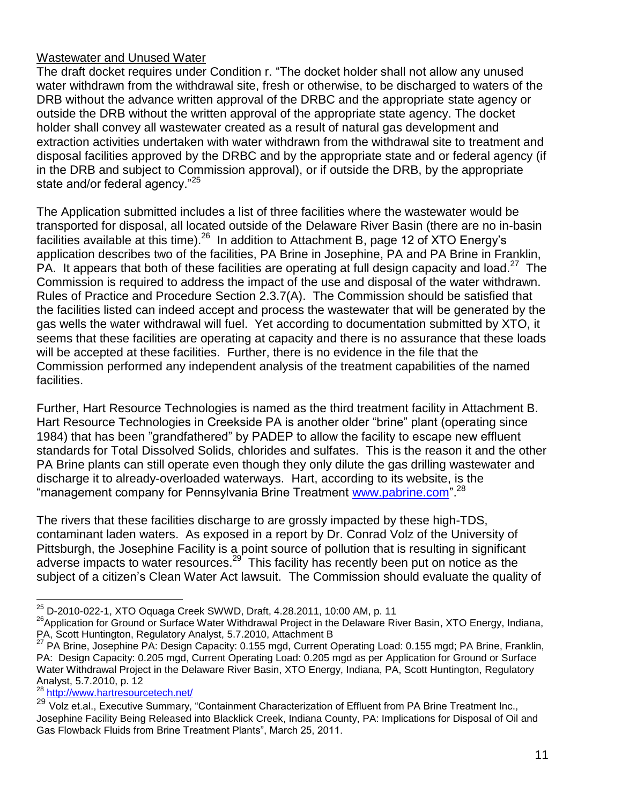## Wastewater and Unused Water

The draft docket requires under Condition r. "The docket holder shall not allow any unused water withdrawn from the withdrawal site, fresh or otherwise, to be discharged to waters of the DRB without the advance written approval of the DRBC and the appropriate state agency or outside the DRB without the written approval of the appropriate state agency. The docket holder shall convey all wastewater created as a result of natural gas development and extraction activities undertaken with water withdrawn from the withdrawal site to treatment and disposal facilities approved by the DRBC and by the appropriate state and or federal agency (if in the DRB and subject to Commission approval), or if outside the DRB, by the appropriate state and/or federal agency."<sup>25</sup>

The Application submitted includes a list of three facilities where the wastewater would be transported for disposal, all located outside of the Delaware River Basin (there are no in-basin facilities available at this time).  $26$  In addition to Attachment B, page 12 of XTO Energy's application describes two of the facilities, PA Brine in Josephine, PA and PA Brine in Franklin, PA. It appears that both of these facilities are operating at full design capacity and load.<sup>27</sup> The Commission is required to address the impact of the use and disposal of the water withdrawn. Rules of Practice and Procedure Section 2.3.7(A). The Commission should be satisfied that the facilities listed can indeed accept and process the wastewater that will be generated by the gas wells the water withdrawal will fuel. Yet according to documentation submitted by XTO, it seems that these facilities are operating at capacity and there is no assurance that these loads will be accepted at these facilities. Further, there is no evidence in the file that the Commission performed any independent analysis of the treatment capabilities of the named facilities.

Further, Hart Resource Technologies is named as the third treatment facility in Attachment B. Hart Resource Technologies in Creekside PA is another older "brine" plant (operating since 1984) that has been "grandfathered" by PADEP to allow the facility to escape new effluent standards for Total Dissolved Solids, chlorides and sulfates. This is the reason it and the other PA Brine plants can still operate even though they only dilute the gas drilling wastewater and discharge it to already-overloaded waterways. Hart, according to its website, is the "management company for Pennsylvania Brine Treatment www.pabrine.com".<sup>28</sup>

The rivers that these facilities discharge to are grossly impacted by these high-TDS, contaminant laden waters. As exposed in a report by Dr. Conrad Volz of the University of Pittsburgh, the Josephine Facility is a point source of pollution that is resulting in significant adverse impacts to water resources.<sup>29</sup> This facility has recently been put on notice as the subject of a citizen's Clean Water Act lawsuit. The Commission should evaluate the quality of

<sup>28</sup> <http://www.hartresourcetech.net/>

<sup>&</sup>lt;sup>25</sup> D-2010-022-1, XTO Oquaga Creek SWWD, Draft, 4.28.2011, 10:00 AM, p. 11

<sup>&</sup>lt;sup>26</sup> Application for Ground or Surface Water Withdrawal Project in the Delaware River Basin, XTO Energy, Indiana, PA, Scott Huntington, Regulatory Analyst, 5.7.2010, Attachment B

<sup>27</sup> PA Brine, Josephine PA: Design Capacity: 0.155 mgd, Current Operating Load: 0.155 mgd; PA Brine, Franklin, PA: Design Capacity: 0.205 mgd, Current Operating Load: 0.205 mgd as per Application for Ground or Surface Water Withdrawal Project in the Delaware River Basin, XTO Energy, Indiana, PA, Scott Huntington, Regulatory Analyst, 5.7.2010, p. 12

<sup>&</sup>lt;sup>29</sup> Volz et.al., Executive Summary, "Containment Characterization of Effluent from PA Brine Treatment Inc., Josephine Facility Being Released into Blacklick Creek, Indiana County, PA: Implications for Disposal of Oil and Gas Flowback Fluids from Brine Treatment Plants", March 25, 2011.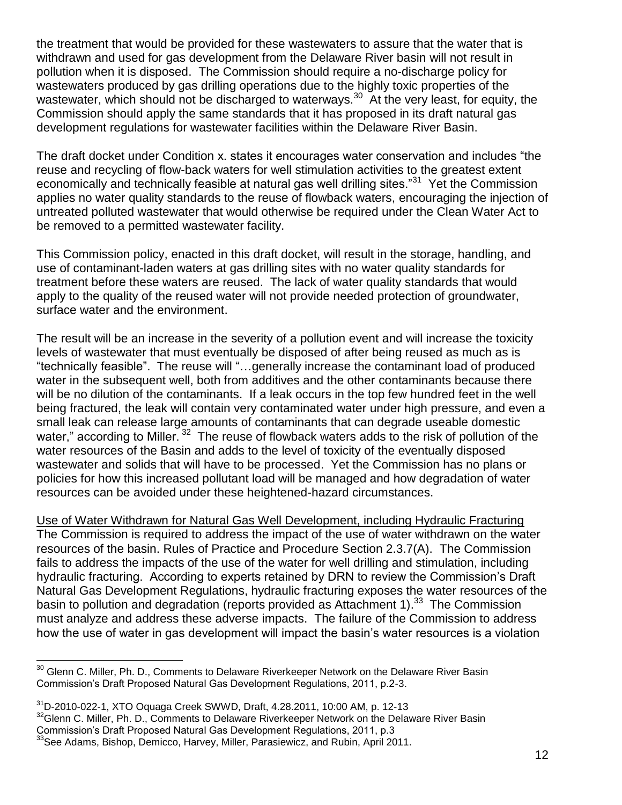the treatment that would be provided for these wastewaters to assure that the water that is withdrawn and used for gas development from the Delaware River basin will not result in pollution when it is disposed. The Commission should require a no-discharge policy for wastewaters produced by gas drilling operations due to the highly toxic properties of the wastewater, which should not be discharged to waterways.<sup>30</sup> At the very least, for equity, the Commission should apply the same standards that it has proposed in its draft natural gas development regulations for wastewater facilities within the Delaware River Basin.

The draft docket under Condition x. states it encourages water conservation and includes "the reuse and recycling of flow-back waters for well stimulation activities to the greatest extent economically and technically feasible at natural gas well drilling sites."<sup>31</sup> Yet the Commission applies no water quality standards to the reuse of flowback waters, encouraging the injection of untreated polluted wastewater that would otherwise be required under the Clean Water Act to be removed to a permitted wastewater facility.

This Commission policy, enacted in this draft docket, will result in the storage, handling, and use of contaminant-laden waters at gas drilling sites with no water quality standards for treatment before these waters are reused. The lack of water quality standards that would apply to the quality of the reused water will not provide needed protection of groundwater, surface water and the environment.

The result will be an increase in the severity of a pollution event and will increase the toxicity levels of wastewater that must eventually be disposed of after being reused as much as is ―technically feasible‖. The reuse will ―…generally increase the contaminant load of produced water in the subsequent well, both from additives and the other contaminants because there will be no dilution of the contaminants. If a leak occurs in the top few hundred feet in the well being fractured, the leak will contain very contaminated water under high pressure, and even a small leak can release large amounts of contaminants that can degrade useable domestic water," according to Miller.<sup>32</sup> The reuse of flowback waters adds to the risk of pollution of the water resources of the Basin and adds to the level of toxicity of the eventually disposed wastewater and solids that will have to be processed. Yet the Commission has no plans or policies for how this increased pollutant load will be managed and how degradation of water resources can be avoided under these heightened-hazard circumstances.

Use of Water Withdrawn for Natural Gas Well Development, including Hydraulic Fracturing The Commission is required to address the impact of the use of water withdrawn on the water resources of the basin. Rules of Practice and Procedure Section 2.3.7(A). The Commission fails to address the impacts of the use of the water for well drilling and stimulation, including hydraulic fracturing. According to experts retained by DRN to review the Commission's Draft Natural Gas Development Regulations, hydraulic fracturing exposes the water resources of the basin to pollution and degradation (reports provided as Attachment 1).<sup>33</sup> The Commission must analyze and address these adverse impacts. The failure of the Commission to address how the use of water in gas development will impact the basin's water resources is a violation

 $\overline{a}$  $^{30}$  Glenn C. Miller, Ph. D., Comments to Delaware Riverkeeper Network on the Delaware River Basin Commission's Draft Proposed Natural Gas Development Regulations, 2011, p.2-3.

<sup>31</sup>D-2010-022-1, XTO Oquaga Creek SWWD, Draft, 4.28.2011, 10:00 AM, p. 12-13

 $32$ Glenn C. Miller, Ph. D., Comments to Delaware Riverkeeper Network on the Delaware River Basin

Commission's Draft Proposed Natural Gas Development Regulations, 2011, p.3

 $33$ See Adams, Bishop, Demicco, Harvey, Miller, Parasiewicz, and Rubin, April 2011.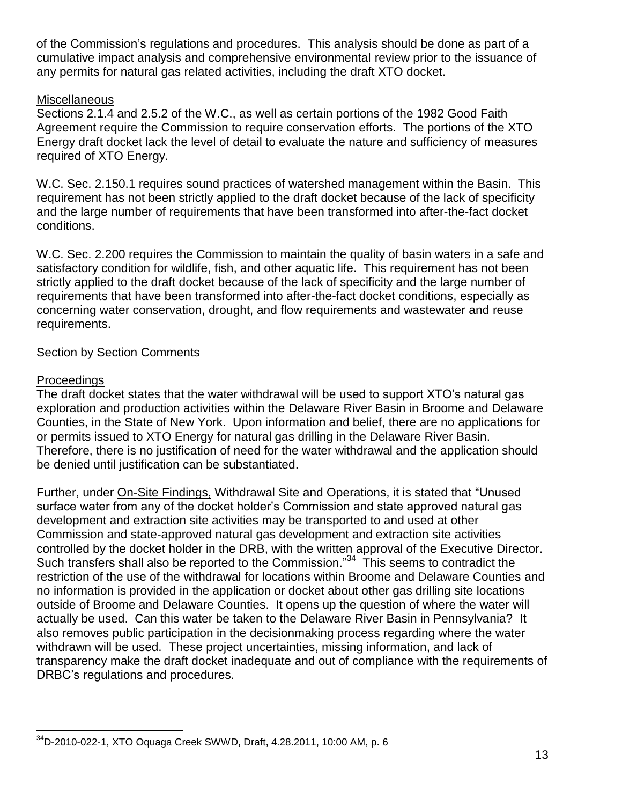of the Commission's regulations and procedures. This analysis should be done as part of a cumulative impact analysis and comprehensive environmental review prior to the issuance of any permits for natural gas related activities, including the draft XTO docket.

## **Miscellaneous**

Sections 2.1.4 and 2.5.2 of the W.C., as well as certain portions of the 1982 Good Faith Agreement require the Commission to require conservation efforts. The portions of the XTO Energy draft docket lack the level of detail to evaluate the nature and sufficiency of measures required of XTO Energy.

W.C. Sec. 2.150.1 requires sound practices of watershed management within the Basin. This requirement has not been strictly applied to the draft docket because of the lack of specificity and the large number of requirements that have been transformed into after-the-fact docket conditions.

W.C. Sec. 2.200 requires the Commission to maintain the quality of basin waters in a safe and satisfactory condition for wildlife, fish, and other aquatic life. This requirement has not been strictly applied to the draft docket because of the lack of specificity and the large number of requirements that have been transformed into after-the-fact docket conditions, especially as concerning water conservation, drought, and flow requirements and wastewater and reuse requirements.

## Section by Section Comments

## Proceedings

The draft docket states that the water withdrawal will be used to support XTO's natural gas exploration and production activities within the Delaware River Basin in Broome and Delaware Counties, in the State of New York. Upon information and belief, there are no applications for or permits issued to XTO Energy for natural gas drilling in the Delaware River Basin. Therefore, there is no justification of need for the water withdrawal and the application should be denied until justification can be substantiated.

Further, under On-Site Findings, Withdrawal Site and Operations, it is stated that "Unused surface water from any of the docket holder's Commission and state approved natural gas development and extraction site activities may be transported to and used at other Commission and state-approved natural gas development and extraction site activities controlled by the docket holder in the DRB, with the written approval of the Executive Director. Such transfers shall also be reported to the Commission.<sup>34</sup> This seems to contradict the restriction of the use of the withdrawal for locations within Broome and Delaware Counties and no information is provided in the application or docket about other gas drilling site locations outside of Broome and Delaware Counties. It opens up the question of where the water will actually be used. Can this water be taken to the Delaware River Basin in Pennsylvania? It also removes public participation in the decisionmaking process regarding where the water withdrawn will be used. These project uncertainties, missing information, and lack of transparency make the draft docket inadequate and out of compliance with the requirements of DRBC's regulations and procedures.

 $\overline{a}$ <sup>34</sup>D-2010-022-1, XTO Oquaga Creek SWWD, Draft, 4.28.2011, 10:00 AM, p. 6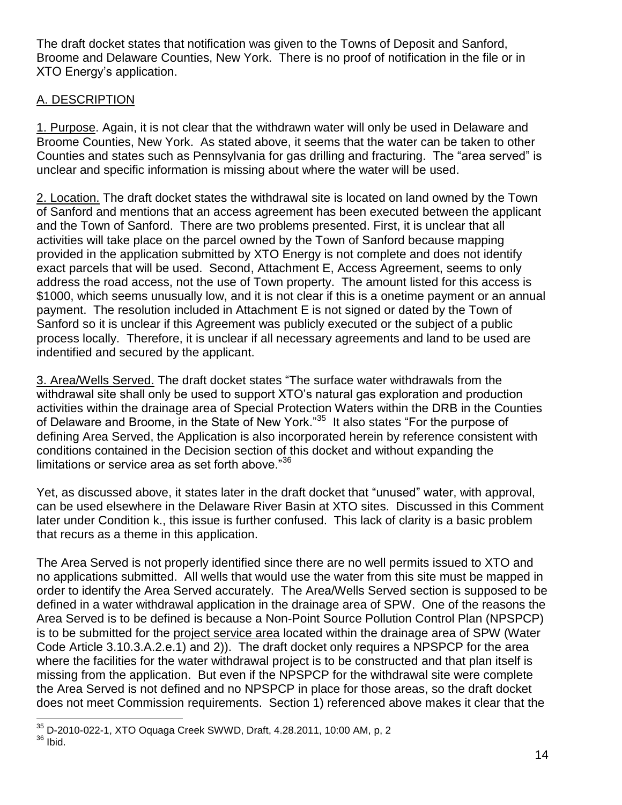The draft docket states that notification was given to the Towns of Deposit and Sanford, Broome and Delaware Counties, New York. There is no proof of notification in the file or in XTO Energy's application.

# A. DESCRIPTION

1. Purpose. Again, it is not clear that the withdrawn water will only be used in Delaware and Broome Counties, New York. As stated above, it seems that the water can be taken to other Counties and states such as Pennsylvania for gas drilling and fracturing. The "area served" is unclear and specific information is missing about where the water will be used.

2. Location. The draft docket states the withdrawal site is located on land owned by the Town of Sanford and mentions that an access agreement has been executed between the applicant and the Town of Sanford. There are two problems presented. First, it is unclear that all activities will take place on the parcel owned by the Town of Sanford because mapping provided in the application submitted by XTO Energy is not complete and does not identify exact parcels that will be used. Second, Attachment E, Access Agreement, seems to only address the road access, not the use of Town property. The amount listed for this access is \$1000, which seems unusually low, and it is not clear if this is a onetime payment or an annual payment. The resolution included in Attachment E is not signed or dated by the Town of Sanford so it is unclear if this Agreement was publicly executed or the subject of a public process locally. Therefore, it is unclear if all necessary agreements and land to be used are indentified and secured by the applicant.

3. Area/Wells Served. The draft docket states "The surface water withdrawals from the withdrawal site shall only be used to support XTO's natural gas exploration and production activities within the drainage area of Special Protection Waters within the DRB in the Counties of Delaware and Broome, in the State of New York."<sup>35</sup> It also states "For the purpose of defining Area Served, the Application is also incorporated herein by reference consistent with conditions contained in the Decision section of this docket and without expanding the limitations or service area as set forth above." $36$ 

Yet, as discussed above, it states later in the draft docket that "unused" water, with approval, can be used elsewhere in the Delaware River Basin at XTO sites. Discussed in this Comment later under Condition k., this issue is further confused. This lack of clarity is a basic problem that recurs as a theme in this application.

The Area Served is not properly identified since there are no well permits issued to XTO and no applications submitted. All wells that would use the water from this site must be mapped in order to identify the Area Served accurately. The Area/Wells Served section is supposed to be defined in a water withdrawal application in the drainage area of SPW. One of the reasons the Area Served is to be defined is because a Non-Point Source Pollution Control Plan (NPSPCP) is to be submitted for the project service area located within the drainage area of SPW (Water Code Article 3.10.3.A.2.e.1) and 2)). The draft docket only requires a NPSPCP for the area where the facilities for the water withdrawal project is to be constructed and that plan itself is missing from the application. But even if the NPSPCP for the withdrawal site were complete the Area Served is not defined and no NPSPCP in place for those areas, so the draft docket does not meet Commission requirements. Section 1) referenced above makes it clear that the

 $\overline{a}$  $^{35}$  D-2010-022-1, XTO Oquaga Creek SWWD, Draft, 4.28.2011, 10:00 AM, p, 2  $36$  Ibid.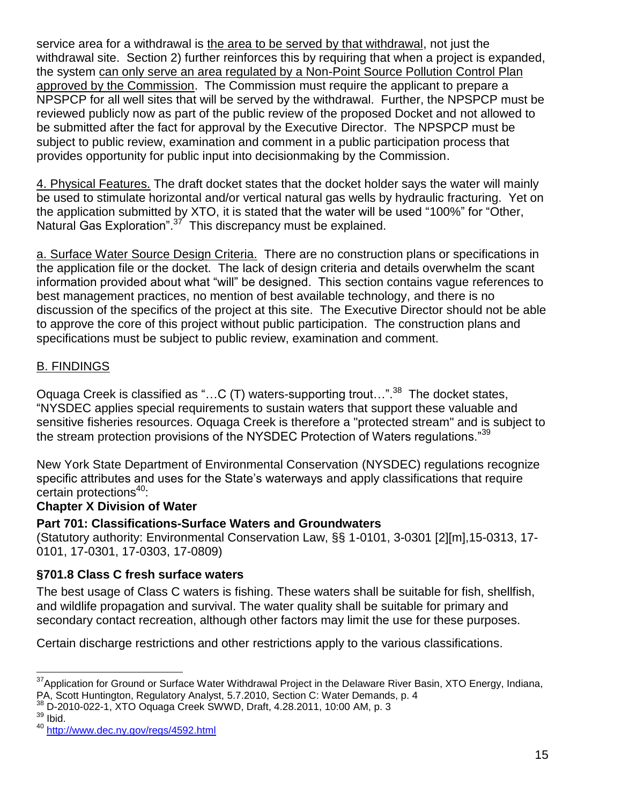service area for a withdrawal is the area to be served by that withdrawal, not just the withdrawal site. Section 2) further reinforces this by requiring that when a project is expanded, the system can only serve an area regulated by a Non-Point Source Pollution Control Plan approved by the Commission. The Commission must require the applicant to prepare a NPSPCP for all well sites that will be served by the withdrawal. Further, the NPSPCP must be reviewed publicly now as part of the public review of the proposed Docket and not allowed to be submitted after the fact for approval by the Executive Director. The NPSPCP must be subject to public review, examination and comment in a public participation process that provides opportunity for public input into decisionmaking by the Commission.

4. Physical Features. The draft docket states that the docket holder says the water will mainly be used to stimulate horizontal and/or vertical natural gas wells by hydraulic fracturing. Yet on the application submitted by XTO, it is stated that the water will be used "100%" for "Other, Natural Gas Exploration".<sup>37</sup> This discrepancy must be explained.

a. Surface Water Source Design Criteria. There are no construction plans or specifications in the application file or the docket. The lack of design criteria and details overwhelm the scant information provided about what "will" be designed. This section contains vague references to best management practices, no mention of best available technology, and there is no discussion of the specifics of the project at this site. The Executive Director should not be able to approve the core of this project without public participation. The construction plans and specifications must be subject to public review, examination and comment.

# B. FINDINGS

Oquaga Creek is classified as "...C (T) waters-supporting trout...".<sup>38</sup> The docket states, ―NYSDEC applies special requirements to sustain waters that support these valuable and sensitive fisheries resources. Oquaga Creek is therefore a "protected stream" and is subject to the stream protection provisions of the NYSDEC Protection of Waters regulations.<sup>39</sup>

New York State Department of Environmental Conservation (NYSDEC) regulations recognize specific attributes and uses for the State's waterways and apply classifications that require certain protections<sup>40</sup>:

## **Chapter X Division of Water**

## **Part 701: Classifications-Surface Waters and Groundwaters**

(Statutory authority: Environmental Conservation Law, §§ 1-0101, 3-0301 [2][m],15-0313, 17- 0101, 17-0301, 17-0303, 17-0809)

# **§701.8 Class C fresh surface waters**

The best usage of Class C waters is fishing. These waters shall be suitable for fish, shellfish, and wildlife propagation and survival. The water quality shall be suitable for primary and secondary contact recreation, although other factors may limit the use for these purposes.

Certain discharge restrictions and other restrictions apply to the various classifications.

 $\overline{a}$ <sup>37</sup> Application for Ground or Surface Water Withdrawal Project in the Delaware River Basin, XTO Energy, Indiana, PA, Scott Huntington, Regulatory Analyst, 5.7.2010, Section C: Water Demands, p. 4

<sup>38</sup> D-2010-022-1, XTO Oquaga Creek SWWD, Draft, 4.28.2011, 10:00 AM, p. 3

 $39$  Ibid.

<sup>40</sup> <http://www.dec.ny.gov/regs/4592.html>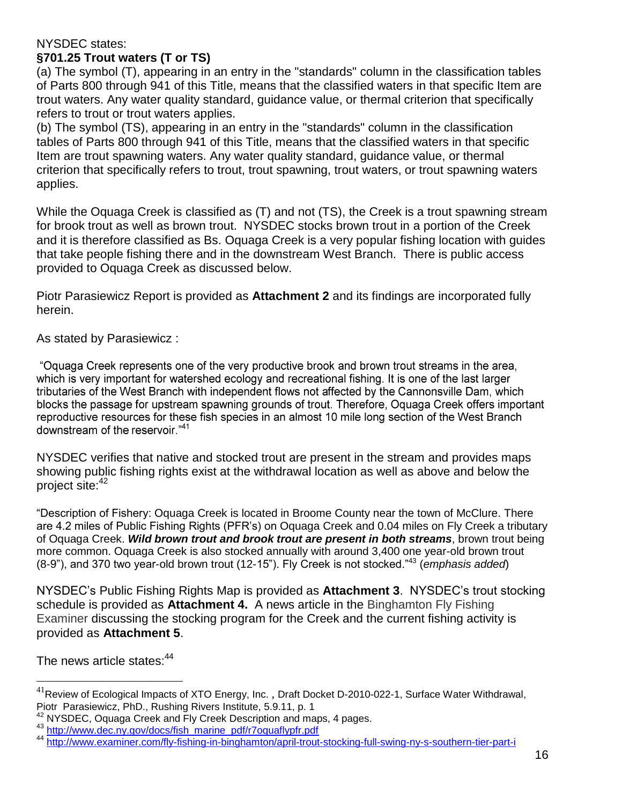#### NYSDEC states: **§701.25 Trout waters (T or TS)**

(a) The symbol (T), appearing in an entry in the "standards" column in the classification tables of Parts 800 through 941 of this Title, means that the classified waters in that specific Item are trout waters. Any water quality standard, guidance value, or thermal criterion that specifically refers to trout or trout waters applies.

(b) The symbol (TS), appearing in an entry in the "standards" column in the classification tables of Parts 800 through 941 of this Title, means that the classified waters in that specific Item are trout spawning waters. Any water quality standard, guidance value, or thermal criterion that specifically refers to trout, trout spawning, trout waters, or trout spawning waters applies.

While the Oquaga Creek is classified as (T) and not (TS), the Creek is a trout spawning stream for brook trout as well as brown trout. NYSDEC stocks brown trout in a portion of the Creek and it is therefore classified as Bs. Oquaga Creek is a very popular fishing location with guides that take people fishing there and in the downstream West Branch. There is public access provided to Oquaga Creek as discussed below.

Piotr Parasiewicz Report is provided as **Attachment 2** and its findings are incorporated fully herein.

As stated by Parasiewicz :

"Oquaga Creek represents one of the very productive brook and brown trout streams in the area, which is very important for watershed ecology and recreational fishing. It is one of the last larger tributaries of the West Branch with independent flows not affected by the Cannonsville Dam, which blocks the passage for upstream spawning grounds of trout. Therefore, Oguaga Creek offers important reproductive resources for these fish species in an almost 10 mile long section of the West Branch downstream of the reservoir."41

NYSDEC verifies that native and stocked trout are present in the stream and provides maps showing public fishing rights exist at the withdrawal location as well as above and below the project site: 42

―Description of Fishery: Oquaga Creek is located in Broome County near the town of McClure. There are 4.2 miles of Public Fishing Rights (PFR's) on Oquaga Creek and 0.04 miles on Fly Creek a tributary of Oquaga Creek. *Wild brown trout and brook trout are present in both streams*, brown trout being more common. Oquaga Creek is also stocked annually with around 3,400 one year-old brown trout (8-9"), and 370 two year-old brown trout (12-15"). Fly Creek is not stocked."<sup>43</sup> (emphasis added)

NYSDEC's Public Fishing Rights Map is provided as **Attachment 3**. NYSDEC's trout stocking schedule is provided as **Attachment 4.** A news article in the Binghamton Fly Fishing Examiner discussing the stocking program for the Creek and the current fishing activity is provided as **Attachment 5**.

The news article states: $44$ 

 $^{41}$ Review of Ecological Impacts of XTO Energy, Inc. , Draft Docket D-2010-022-1, Surface Water Withdrawal, Piotr Parasiewicz, PhD., Rushing Rivers Institute, 5.9.11, p. 1

 $42$  NYSDEC, Oquaga Creek and Fly Creek Description and maps, 4 pages.

<sup>43</sup> [http://www.dec.ny.gov/docs/fish\\_marine\\_pdf/r7oquaflypfr.pdf](http://www.dec.ny.gov/docs/fish_marine_pdf/r7oquaflypfr.pdf)

<sup>44</sup> <http://www.examiner.com/fly-fishing-in-binghamton/april-trout-stocking-full-swing-ny-s-southern-tier-part-i>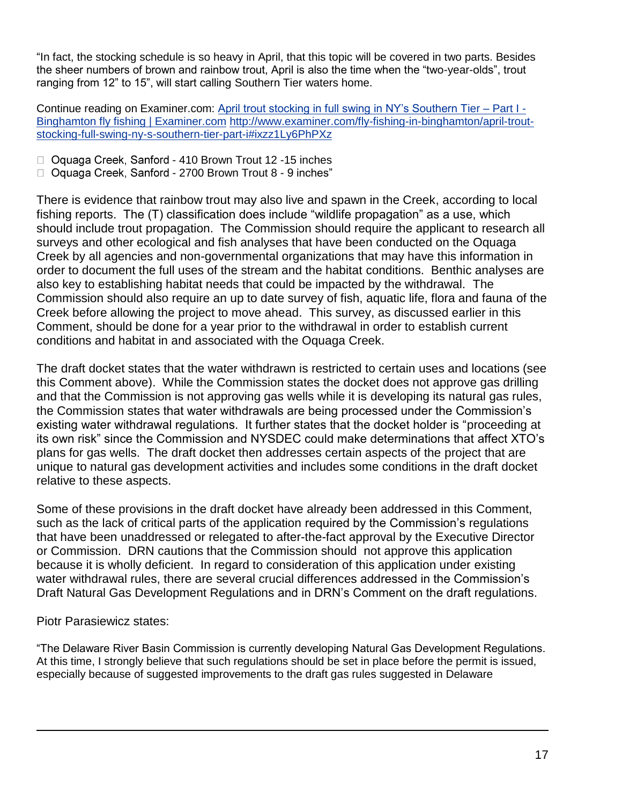"In fact, the stocking schedule is so heavy in April, that this topic will be covered in two parts. Besides the sheer numbers of brown and rainbow trout, April is also the time when the "two-year-olds", trout ranging from 12" to 15", will start calling Southern Tier waters home.

Continue reading on Examiner.com: [April trout stocking in full swing in NY's Southern Tier –](http://www.examiner.com/fly-fishing-in-binghamton/april-trout-stocking-full-swing-ny-s-southern-tier-part-i#ixzz1Ly6PhPXz) Part I - [Binghamton fly fishing | Examiner.com](http://www.examiner.com/fly-fishing-in-binghamton/april-trout-stocking-full-swing-ny-s-southern-tier-part-i#ixzz1Ly6PhPXz) [http://www.examiner.com/fly-fishing-in-binghamton/april-trout](http://www.examiner.com/fly-fishing-in-binghamton/april-trout-stocking-full-swing-ny-s-southern-tier-part-i#ixzz1Ly6PhPXz)[stocking-full-swing-ny-s-southern-tier-part-i#ixzz1Ly6PhPXz](http://www.examiner.com/fly-fishing-in-binghamton/april-trout-stocking-full-swing-ny-s-southern-tier-part-i#ixzz1Ly6PhPXz)

- □ Oquaga Creek, Sanford 410 Brown Trout 12 -15 inches
- □ Oquaga Creek, Sanford 2700 Brown Trout 8 9 inches"

There is evidence that rainbow trout may also live and spawn in the Creek, according to local fishing reports. The (T) classification does include "wildlife propagation" as a use, which should include trout propagation. The Commission should require the applicant to research all surveys and other ecological and fish analyses that have been conducted on the Oquaga Creek by all agencies and non-governmental organizations that may have this information in order to document the full uses of the stream and the habitat conditions. Benthic analyses are also key to establishing habitat needs that could be impacted by the withdrawal. The Commission should also require an up to date survey of fish, aquatic life, flora and fauna of the Creek before allowing the project to move ahead. This survey, as discussed earlier in this Comment, should be done for a year prior to the withdrawal in order to establish current conditions and habitat in and associated with the Oquaga Creek.

The draft docket states that the water withdrawn is restricted to certain uses and locations (see this Comment above). While the Commission states the docket does not approve gas drilling and that the Commission is not approving gas wells while it is developing its natural gas rules, the Commission states that water withdrawals are being processed under the Commission's existing water withdrawal regulations. It further states that the docket holder is "proceeding at its own risk" since the Commission and NYSDEC could make determinations that affect XTO's plans for gas wells. The draft docket then addresses certain aspects of the project that are unique to natural gas development activities and includes some conditions in the draft docket relative to these aspects.

Some of these provisions in the draft docket have already been addressed in this Comment, such as the lack of critical parts of the application required by the Commission's regulations that have been unaddressed or relegated to after-the-fact approval by the Executive Director or Commission. DRN cautions that the Commission should not approve this application because it is wholly deficient. In regard to consideration of this application under existing water withdrawal rules, there are several crucial differences addressed in the Commission's Draft Natural Gas Development Regulations and in DRN's Comment on the draft regulations.

Piotr Parasiewicz states:

 $\overline{a}$ 

―The Delaware River Basin Commission is currently developing Natural Gas Development Regulations. At this time, I strongly believe that such regulations should be set in place before the permit is issued, especially because of suggested improvements to the draft gas rules suggested in Delaware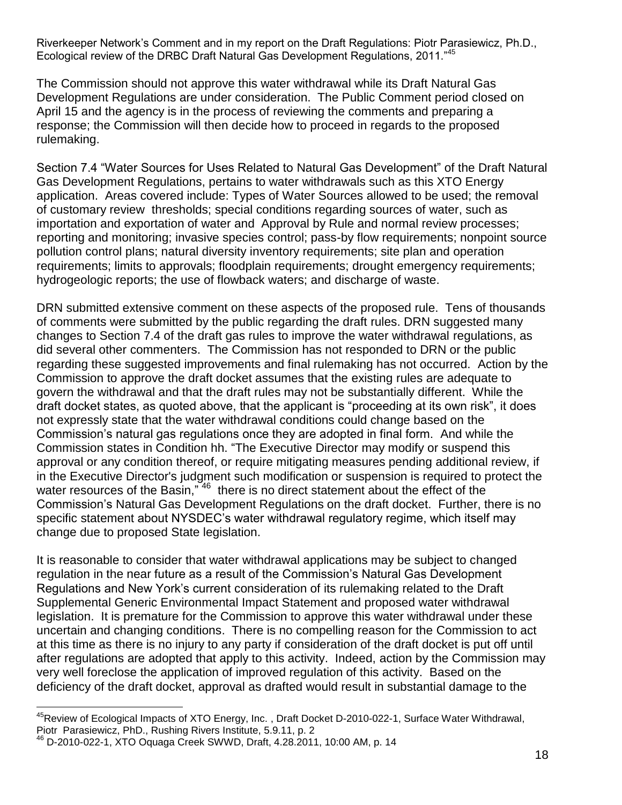Riverkeeper Network's Comment and in my report on the Draft Regulations: Piotr Parasiewicz, Ph.D., Ecological review of the DRBC Draft Natural Gas Development Regulations, 2011."<sup>45</sup>

The Commission should not approve this water withdrawal while its Draft Natural Gas Development Regulations are under consideration. The Public Comment period closed on April 15 and the agency is in the process of reviewing the comments and preparing a response; the Commission will then decide how to proceed in regards to the proposed rulemaking.

Section 7.4 "Water Sources for Uses Related to Natural Gas Development" of the Draft Natural Gas Development Regulations, pertains to water withdrawals such as this XTO Energy application. Areas covered include: Types of Water Sources allowed to be used; the removal of customary review thresholds; special conditions regarding sources of water, such as importation and exportation of water and Approval by Rule and normal review processes; reporting and monitoring; invasive species control; pass-by flow requirements; nonpoint source pollution control plans; natural diversity inventory requirements; site plan and operation requirements; limits to approvals; floodplain requirements; drought emergency requirements; hydrogeologic reports; the use of flowback waters; and discharge of waste.

DRN submitted extensive comment on these aspects of the proposed rule. Tens of thousands of comments were submitted by the public regarding the draft rules. DRN suggested many changes to Section 7.4 of the draft gas rules to improve the water withdrawal regulations, as did several other commenters. The Commission has not responded to DRN or the public regarding these suggested improvements and final rulemaking has not occurred. Action by the Commission to approve the draft docket assumes that the existing rules are adequate to govern the withdrawal and that the draft rules may not be substantially different. While the draft docket states, as quoted above, that the applicant is "proceeding at its own risk", it does not expressly state that the water withdrawal conditions could change based on the Commission's natural gas regulations once they are adopted in final form. And while the Commission states in Condition hh. "The Executive Director may modify or suspend this approval or any condition thereof, or require mitigating measures pending additional review, if in the Executive Director's judgment such modification or suspension is required to protect the water resources of the Basin,"  $46$  there is no direct statement about the effect of the Commission's Natural Gas Development Regulations on the draft docket. Further, there is no specific statement about NYSDEC's water withdrawal regulatory regime, which itself may change due to proposed State legislation.

It is reasonable to consider that water withdrawal applications may be subject to changed regulation in the near future as a result of the Commission's Natural Gas Development Regulations and New York's current consideration of its rulemaking related to the Draft Supplemental Generic Environmental Impact Statement and proposed water withdrawal legislation. It is premature for the Commission to approve this water withdrawal under these uncertain and changing conditions. There is no compelling reason for the Commission to act at this time as there is no injury to any party if consideration of the draft docket is put off until after regulations are adopted that apply to this activity. Indeed, action by the Commission may very well foreclose the application of improved regulation of this activity. Based on the deficiency of the draft docket, approval as drafted would result in substantial damage to the

 $\overline{a}$ <sup>45</sup>Review of Ecological Impacts of XTO Energy, Inc., Draft Docket D-2010-022-1, Surface Water Withdrawal, Piotr Parasiewicz, PhD., Rushing Rivers Institute, 5.9.11, p. 2<br><sup>46</sup> D-2010-022-1, XTO Ocupas Case Official Rivers 5.9.11, p. 2

<sup>46</sup> D-2010-022-1, XTO Oquaga Creek SWWD, Draft, 4.28.2011, 10:00 AM, p. 14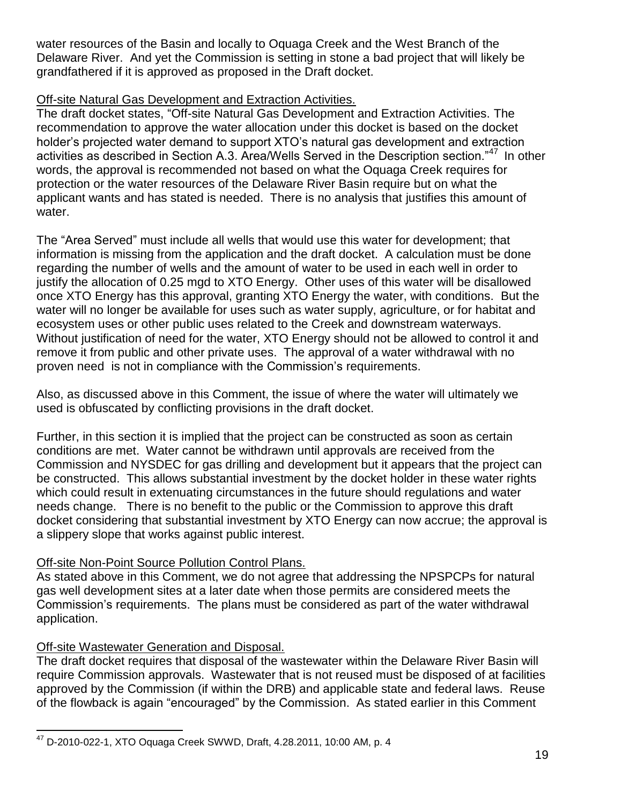water resources of the Basin and locally to Oquaga Creek and the West Branch of the Delaware River. And yet the Commission is setting in stone a bad project that will likely be grandfathered if it is approved as proposed in the Draft docket.

## Off-site Natural Gas Development and Extraction Activities.

The draft docket states, "Off-site Natural Gas Development and Extraction Activities. The recommendation to approve the water allocation under this docket is based on the docket holder's projected water demand to support XTO's natural gas development and extraction activities as described in Section A.3. Area/Wells Served in the Description section."<sup>47</sup> In other words, the approval is recommended not based on what the Oquaga Creek requires for protection or the water resources of the Delaware River Basin require but on what the applicant wants and has stated is needed. There is no analysis that justifies this amount of water.

The "Area Served" must include all wells that would use this water for development; that information is missing from the application and the draft docket. A calculation must be done regarding the number of wells and the amount of water to be used in each well in order to justify the allocation of 0.25 mgd to XTO Energy. Other uses of this water will be disallowed once XTO Energy has this approval, granting XTO Energy the water, with conditions. But the water will no longer be available for uses such as water supply, agriculture, or for habitat and ecosystem uses or other public uses related to the Creek and downstream waterways. Without justification of need for the water, XTO Energy should not be allowed to control it and remove it from public and other private uses. The approval of a water withdrawal with no proven need is not in compliance with the Commission's requirements.

Also, as discussed above in this Comment, the issue of where the water will ultimately we used is obfuscated by conflicting provisions in the draft docket.

Further, in this section it is implied that the project can be constructed as soon as certain conditions are met. Water cannot be withdrawn until approvals are received from the Commission and NYSDEC for gas drilling and development but it appears that the project can be constructed. This allows substantial investment by the docket holder in these water rights which could result in extenuating circumstances in the future should regulations and water needs change. There is no benefit to the public or the Commission to approve this draft docket considering that substantial investment by XTO Energy can now accrue; the approval is a slippery slope that works against public interest.

# Off-site Non-Point Source Pollution Control Plans.

As stated above in this Comment, we do not agree that addressing the NPSPCPs for natural gas well development sites at a later date when those permits are considered meets the Commission's requirements. The plans must be considered as part of the water withdrawal application.

# Off-site Wastewater Generation and Disposal.

The draft docket requires that disposal of the wastewater within the Delaware River Basin will require Commission approvals. Wastewater that is not reused must be disposed of at facilities approved by the Commission (if within the DRB) and applicable state and federal laws. Reuse of the flowback is again "encouraged" by the Commission. As stated earlier in this Comment

 $\overline{a}$  $^{47}$  D-2010-022-1, XTO Oquaga Creek SWWD, Draft, 4.28.2011, 10:00 AM, p. 4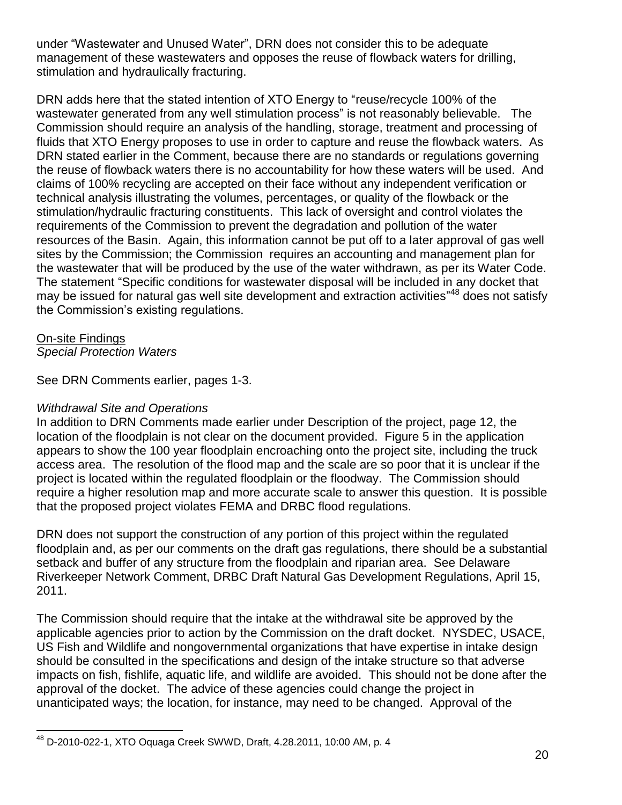under "Wastewater and Unused Water", DRN does not consider this to be adequate management of these wastewaters and opposes the reuse of flowback waters for drilling, stimulation and hydraulically fracturing.

DRN adds here that the stated intention of XTO Energy to "reuse/recycle 100% of the wastewater generated from any well stimulation process" is not reasonably believable. The Commission should require an analysis of the handling, storage, treatment and processing of fluids that XTO Energy proposes to use in order to capture and reuse the flowback waters. As DRN stated earlier in the Comment, because there are no standards or regulations governing the reuse of flowback waters there is no accountability for how these waters will be used. And claims of 100% recycling are accepted on their face without any independent verification or technical analysis illustrating the volumes, percentages, or quality of the flowback or the stimulation/hydraulic fracturing constituents. This lack of oversight and control violates the requirements of the Commission to prevent the degradation and pollution of the water resources of the Basin. Again, this information cannot be put off to a later approval of gas well sites by the Commission; the Commission requires an accounting and management plan for the wastewater that will be produced by the use of the water withdrawn, as per its Water Code. The statement "Specific conditions for wastewater disposal will be included in any docket that may be issued for natural gas well site development and extraction activities"<sup>48</sup> does not satisfy the Commission's existing regulations.

On-site Findings *Special Protection Waters*

 $\overline{a}$ 

See DRN Comments earlier, pages 1-3.

## *Withdrawal Site and Operations*

In addition to DRN Comments made earlier under Description of the project, page 12, the location of the floodplain is not clear on the document provided. Figure 5 in the application appears to show the 100 year floodplain encroaching onto the project site, including the truck access area. The resolution of the flood map and the scale are so poor that it is unclear if the project is located within the regulated floodplain or the floodway. The Commission should require a higher resolution map and more accurate scale to answer this question. It is possible that the proposed project violates FEMA and DRBC flood regulations.

DRN does not support the construction of any portion of this project within the regulated floodplain and, as per our comments on the draft gas regulations, there should be a substantial setback and buffer of any structure from the floodplain and riparian area. See Delaware Riverkeeper Network Comment, DRBC Draft Natural Gas Development Regulations, April 15, 2011.

The Commission should require that the intake at the withdrawal site be approved by the applicable agencies prior to action by the Commission on the draft docket. NYSDEC, USACE, US Fish and Wildlife and nongovernmental organizations that have expertise in intake design should be consulted in the specifications and design of the intake structure so that adverse impacts on fish, fishlife, aquatic life, and wildlife are avoided. This should not be done after the approval of the docket. The advice of these agencies could change the project in unanticipated ways; the location, for instance, may need to be changed. Approval of the

 $^{48}$  D-2010-022-1, XTO Oquaga Creek SWWD, Draft, 4.28.2011, 10:00 AM, p. 4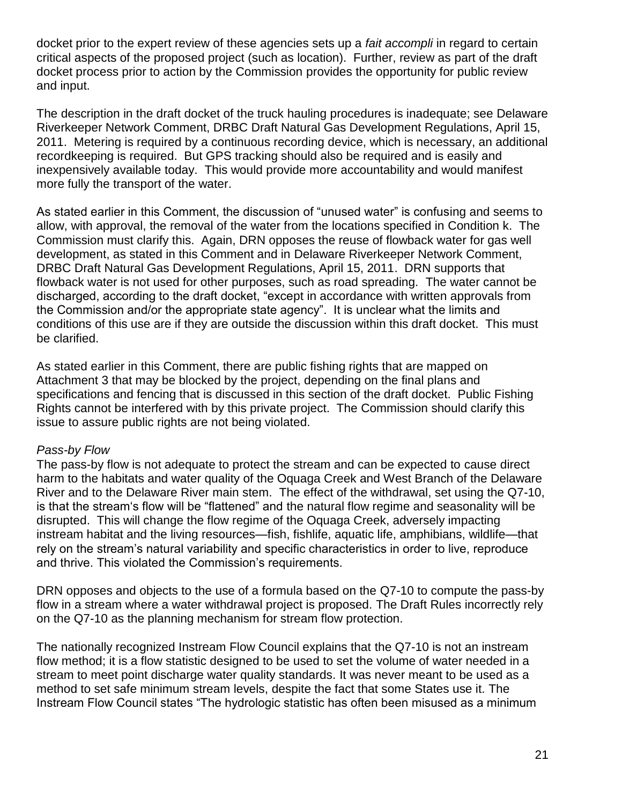docket prior to the expert review of these agencies sets up a *fait accompli* in regard to certain critical aspects of the proposed project (such as location). Further, review as part of the draft docket process prior to action by the Commission provides the opportunity for public review and input.

The description in the draft docket of the truck hauling procedures is inadequate; see Delaware Riverkeeper Network Comment, DRBC Draft Natural Gas Development Regulations, April 15, 2011. Metering is required by a continuous recording device, which is necessary, an additional recordkeeping is required. But GPS tracking should also be required and is easily and inexpensively available today. This would provide more accountability and would manifest more fully the transport of the water.

As stated earlier in this Comment, the discussion of "unused water" is confusing and seems to allow, with approval, the removal of the water from the locations specified in Condition k. The Commission must clarify this. Again, DRN opposes the reuse of flowback water for gas well development, as stated in this Comment and in Delaware Riverkeeper Network Comment, DRBC Draft Natural Gas Development Regulations, April 15, 2011. DRN supports that flowback water is not used for other purposes, such as road spreading. The water cannot be discharged, according to the draft docket, "except in accordance with written approvals from the Commission and/or the appropriate state agency". It is unclear what the limits and conditions of this use are if they are outside the discussion within this draft docket. This must be clarified.

As stated earlier in this Comment, there are public fishing rights that are mapped on Attachment 3 that may be blocked by the project, depending on the final plans and specifications and fencing that is discussed in this section of the draft docket. Public Fishing Rights cannot be interfered with by this private project. The Commission should clarify this issue to assure public rights are not being violated.

#### *Pass-by Flow*

The pass-by flow is not adequate to protect the stream and can be expected to cause direct harm to the habitats and water quality of the Oquaga Creek and West Branch of the Delaware River and to the Delaware River main stem. The effect of the withdrawal, set using the Q7-10, is that the stream's flow will be "flattened" and the natural flow regime and seasonality will be disrupted. This will change the flow regime of the Oquaga Creek, adversely impacting instream habitat and the living resources—fish, fishlife, aquatic life, amphibians, wildlife—that rely on the stream's natural variability and specific characteristics in order to live, reproduce and thrive. This violated the Commission's requirements.

DRN opposes and objects to the use of a formula based on the Q7-10 to compute the pass-by flow in a stream where a water withdrawal project is proposed. The Draft Rules incorrectly rely on the Q7-10 as the planning mechanism for stream flow protection.

The nationally recognized Instream Flow Council explains that the Q7-10 is not an instream flow method; it is a flow statistic designed to be used to set the volume of water needed in a stream to meet point discharge water quality standards. It was never meant to be used as a method to set safe minimum stream levels, despite the fact that some States use it. The Instream Flow Council states "The hydrologic statistic has often been misused as a minimum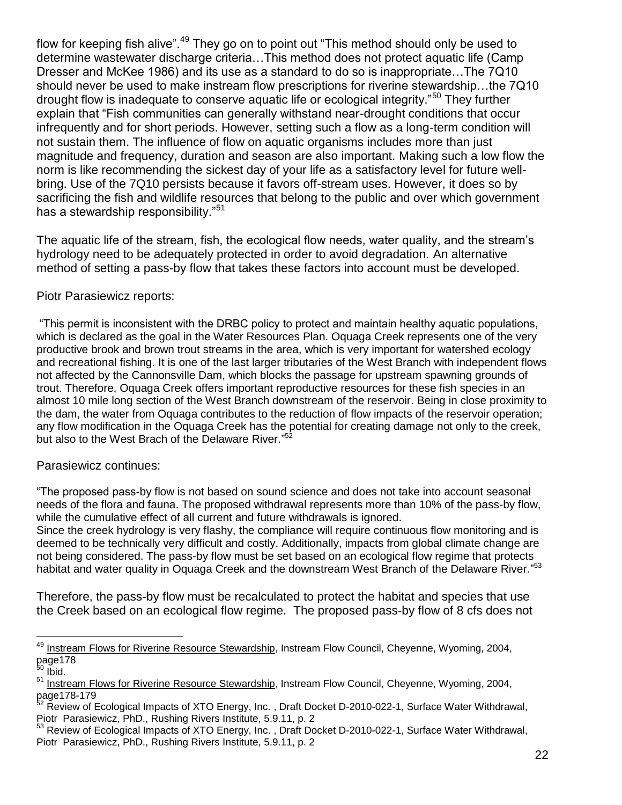flow for keeping fish alive". $49$  They go on to point out "This method should only be used to determine wastewater discharge criteria…This method does not protect aquatic life (Camp Dresser and McKee 1986) and its use as a standard to do so is inappropriate…The 7Q10 should never be used to make instream flow prescriptions for riverine stewardship…the 7Q10 drought flow is inadequate to conserve aquatic life or ecological integrity."<sup>50</sup> They further explain that "Fish communities can generally withstand near-drought conditions that occur infrequently and for short periods. However, setting such a flow as a long-term condition will not sustain them. The influence of flow on aquatic organisms includes more than just magnitude and frequency, duration and season are also important. Making such a low flow the norm is like recommending the sickest day of your life as a satisfactory level for future wellbring. Use of the 7Q10 persists because it favors off-stream uses. However, it does so by sacrificing the fish and wildlife resources that belong to the public and over which government has a stewardship responsibility."<sup>51</sup>

The aquatic life of the stream, fish, the ecological flow needs, water quality, and the stream's hydrology need to be adequately protected in order to avoid degradation. An alternative method of setting a pass-by flow that takes these factors into account must be developed.

## Piotr Parasiewicz reports:

―This permit is inconsistent with the DRBC policy to protect and maintain healthy aquatic populations, which is declared as the goal in the Water Resources Plan. Oquaga Creek represents one of the very productive brook and brown trout streams in the area, which is very important for watershed ecology and recreational fishing. It is one of the last larger tributaries of the West Branch with independent flows not affected by the Cannonsville Dam, which blocks the passage for upstream spawning grounds of trout. Therefore, Oquaga Creek offers important reproductive resources for these fish species in an almost 10 mile long section of the West Branch downstream of the reservoir. Being in close proximity to the dam, the water from Oquaga contributes to the reduction of flow impacts of the reservoir operation; any flow modification in the Oquaga Creek has the potential for creating damage not only to the creek, but also to the West Brach of the Delaware River."<sup>52</sup>

#### Parasiewicz continues:

―The proposed pass-by flow is not based on sound science and does not take into account seasonal needs of the flora and fauna. The proposed withdrawal represents more than 10% of the pass-by flow, while the cumulative effect of all current and future withdrawals is ignored.

Since the creek hydrology is very flashy, the compliance will require continuous flow monitoring and is deemed to be technically very difficult and costly. Additionally, impacts from global climate change are not being considered. The pass-by flow must be set based on an ecological flow regime that protects habitat and water quality in Oquaga Creek and the downstream West Branch of the Delaware River."<sup>53</sup>

Therefore, the pass-by flow must be recalculated to protect the habitat and species that use the Creek based on an ecological flow regime. The proposed pass-by flow of 8 cfs does not

<sup>&</sup>lt;sup>49</sup> Instream Flows for Riverine Resource Stewardship, Instream Flow Council, Cheyenne, Wyoming, 2004, page178

 $50$  lbid.

<sup>&</sup>lt;sup>51</sup> Instream Flows for Riverine Resource Stewardship, Instream Flow Council, Cheyenne, Wyoming, 2004,  $page178-179$ <br> $52 - 2411 - 179$ 

<sup>52</sup> Review of Ecological Impacts of XTO Energy, Inc. , Draft Docket D-2010-022-1, Surface Water Withdrawal, Piotr Parasiewicz, PhD., Rushing Rivers Institute, 5.9.11, p. 2

<sup>53</sup> Review of Ecological Impacts of XTO Energy, Inc. , Draft Docket D-2010-022-1, Surface Water Withdrawal, Piotr Parasiewicz, PhD., Rushing Rivers Institute, 5.9.11, p. 2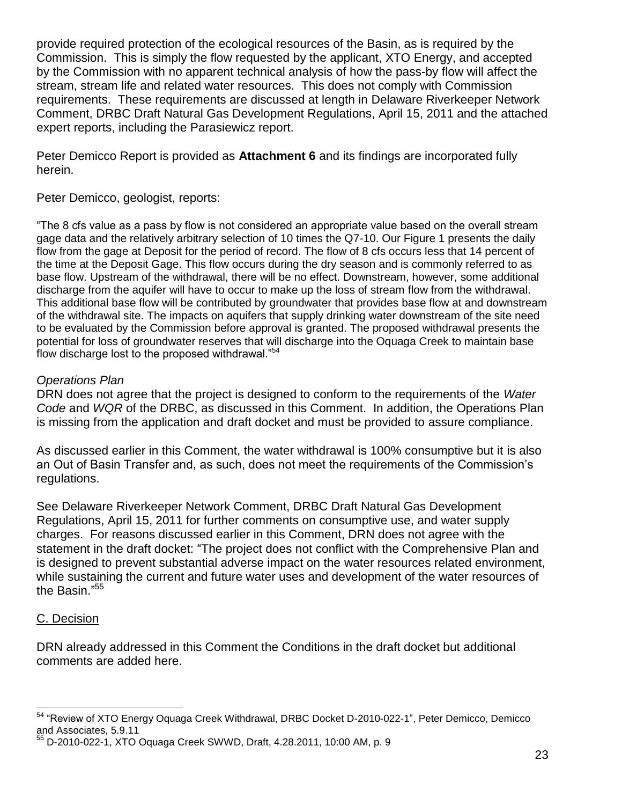provide required protection of the ecological resources of the Basin, as is required by the Commission. This is simply the flow requested by the applicant, XTO Energy, and accepted by the Commission with no apparent technical analysis of how the pass-by flow will affect the stream, stream life and related water resources. This does not comply with Commission requirements. These requirements are discussed at length in Delaware Riverkeeper Network Comment, DRBC Draft Natural Gas Development Regulations, April 15, 2011 and the attached expert reports, including the Parasiewicz report.

Peter Demicco Report is provided as **Attachment 6** and its findings are incorporated fully herein.

Peter Demicco, geologist, reports:

―The 8 cfs value as a pass by flow is not considered an appropriate value based on the overall stream gage data and the relatively arbitrary selection of 10 times the Q7-10. Our Figure 1 presents the daily flow from the gage at Deposit for the period of record. The flow of 8 cfs occurs less that 14 percent of the time at the Deposit Gage. This flow occurs during the dry season and is commonly referred to as base flow. Upstream of the withdrawal, there will be no effect. Downstream, however, some additional discharge from the aquifer will have to occur to make up the loss of stream flow from the withdrawal. This additional base flow will be contributed by groundwater that provides base flow at and downstream of the withdrawal site. The impacts on aquifers that supply drinking water downstream of the site need to be evaluated by the Commission before approval is granted. The proposed withdrawal presents the potential for loss of groundwater reserves that will discharge into the Oquaga Creek to maintain base flow discharge lost to the proposed withdrawal." $54$ 

# *Operations Plan*

DRN does not agree that the project is designed to conform to the requirements of the *Water Code* and *WQR* of the DRBC, as discussed in this Comment. In addition, the Operations Plan is missing from the application and draft docket and must be provided to assure compliance.

As discussed earlier in this Comment, the water withdrawal is 100% consumptive but it is also an Out of Basin Transfer and, as such, does not meet the requirements of the Commission's regulations.

See Delaware Riverkeeper Network Comment, DRBC Draft Natural Gas Development Regulations, April 15, 2011 for further comments on consumptive use, and water supply charges. For reasons discussed earlier in this Comment, DRN does not agree with the statement in the draft docket: "The project does not conflict with the Comprehensive Plan and is designed to prevent substantial adverse impact on the water resources related environment, while sustaining the current and future water uses and development of the water resources of the Basin."<sup>55</sup>

# C. Decision

DRN already addressed in this Comment the Conditions in the draft docket but additional comments are added here.

 $\overline{a}$ 54 "Review of XTO Energy Oquaga Creek Withdrawal, DRBC Docket D-2010-022-1", Peter Demicco, Demicco and Associates, 5.9.11

<sup>55</sup> D-2010-022-1, XTO Oquaga Creek SWWD, Draft, 4.28.2011, 10:00 AM, p. 9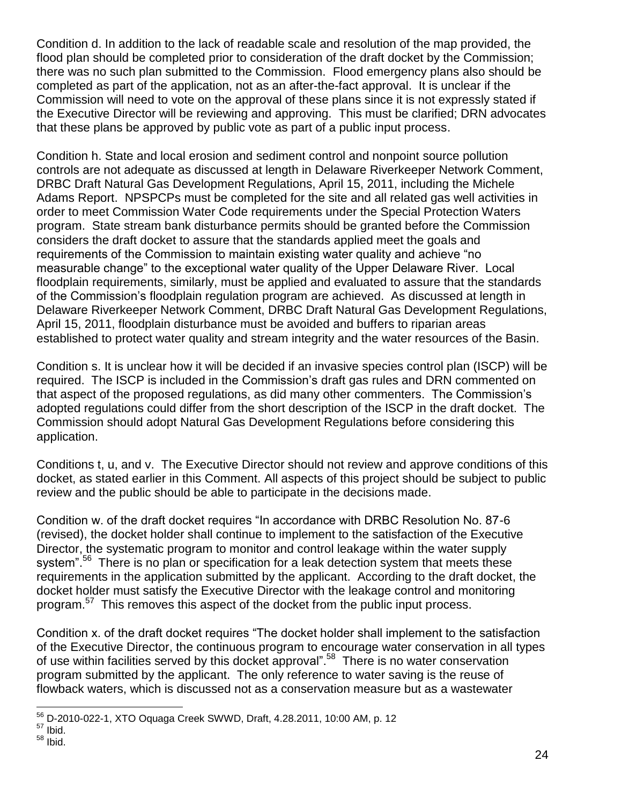Condition d. In addition to the lack of readable scale and resolution of the map provided, the flood plan should be completed prior to consideration of the draft docket by the Commission; there was no such plan submitted to the Commission. Flood emergency plans also should be completed as part of the application, not as an after-the-fact approval. It is unclear if the Commission will need to vote on the approval of these plans since it is not expressly stated if the Executive Director will be reviewing and approving. This must be clarified; DRN advocates that these plans be approved by public vote as part of a public input process.

Condition h. State and local erosion and sediment control and nonpoint source pollution controls are not adequate as discussed at length in Delaware Riverkeeper Network Comment, DRBC Draft Natural Gas Development Regulations, April 15, 2011, including the Michele Adams Report. NPSPCPs must be completed for the site and all related gas well activities in order to meet Commission Water Code requirements under the Special Protection Waters program. State stream bank disturbance permits should be granted before the Commission considers the draft docket to assure that the standards applied meet the goals and requirements of the Commission to maintain existing water quality and achieve "no measurable change" to the exceptional water quality of the Upper Delaware River. Local floodplain requirements, similarly, must be applied and evaluated to assure that the standards of the Commission's floodplain regulation program are achieved. As discussed at length in Delaware Riverkeeper Network Comment, DRBC Draft Natural Gas Development Regulations, April 15, 2011, floodplain disturbance must be avoided and buffers to riparian areas established to protect water quality and stream integrity and the water resources of the Basin.

Condition s. It is unclear how it will be decided if an invasive species control plan (ISCP) will be required. The ISCP is included in the Commission's draft gas rules and DRN commented on that aspect of the proposed regulations, as did many other commenters. The Commission's adopted regulations could differ from the short description of the ISCP in the draft docket. The Commission should adopt Natural Gas Development Regulations before considering this application.

Conditions t, u, and v. The Executive Director should not review and approve conditions of this docket, as stated earlier in this Comment. All aspects of this project should be subject to public review and the public should be able to participate in the decisions made.

Condition w. of the draft docket requires "In accordance with DRBC Resolution No. 87-6 (revised), the docket holder shall continue to implement to the satisfaction of the Executive Director, the systematic program to monitor and control leakage within the water supply system".<sup>56</sup> There is no plan or specification for a leak detection system that meets these requirements in the application submitted by the applicant. According to the draft docket, the docket holder must satisfy the Executive Director with the leakage control and monitoring program.<sup>57</sup> This removes this aspect of the docket from the public input process.

Condition x. of the draft docket requires "The docket holder shall implement to the satisfaction of the Executive Director, the continuous program to encourage water conservation in all types of use within facilities served by this docket approval".<sup>58</sup> There is no water conservation program submitted by the applicant. The only reference to water saving is the reuse of flowback waters, which is discussed not as a conservation measure but as a wastewater

 $\overline{a}$ <sup>56</sup> D-2010-022-1, XTO Oquaga Creek SWWD, Draft, 4.28.2011, 10:00 AM, p. 12

 $57$  Ibid.

 $^{58}$  Ibid.